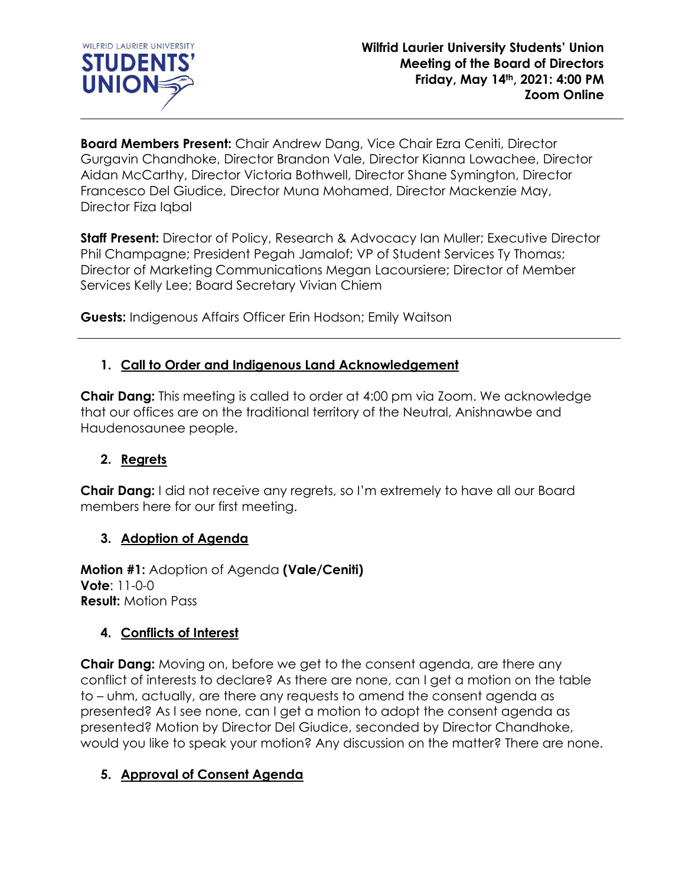

**Board Members Present:** Chair Andrew Dang, Vice Chair Ezra Ceniti, Director Gurgavin Chandhoke, Director Brandon Vale, Director Kianna Lowachee, Director Aidan McCarthy, Director Victoria Bothwell, Director Shane Symington, Director Francesco Del Giudice, Director Muna Mohamed, Director Mackenzie May, Director Fiza Iqbal

**Staff Present:** Director of Policy, Research & Advocacy Ian Muller; Executive Director Phil Champagne; President Pegah Jamalof; VP of Student Services Ty Thomas; Director of Marketing Communications Megan Lacoursiere; Director of Member Services Kelly Lee; Board Secretary Vivian Chiem

**Guests:** Indigenous Affairs Officer Erin Hodson; Emily Waitson

## **1. Call to Order and Indigenous Land Acknowledgement**

**Chair Dang:** This meeting is called to order at 4:00 pm via Zoom. We acknowledge that our offices are on the traditional territory of the Neutral, Anishnawbe and Haudenosaunee people.

## **2. Regrets**

**Chair Dang:** I did not receive any regrets, so I'm extremely to have all our Board members here for our first meeting.

### **3. Adoption of Agenda**

**Motion #1:** Adoption of Agenda **(Vale/Ceniti) Vote**: 11-0-0 **Result:** Motion Pass

## **4. Conflicts of Interest**

**Chair Dang:** Moving on, before we get to the consent agenda, are there any conflict of interests to declare? As there are none, can I get a motion on the table to – uhm, actually, are there any requests to amend the consent agenda as presented? As I see none, can I get a motion to adopt the consent agenda as presented? Motion by Director Del Giudice, seconded by Director Chandhoke, would you like to speak your motion? Any discussion on the matter? There are none.

## **5. Approval of Consent Agenda**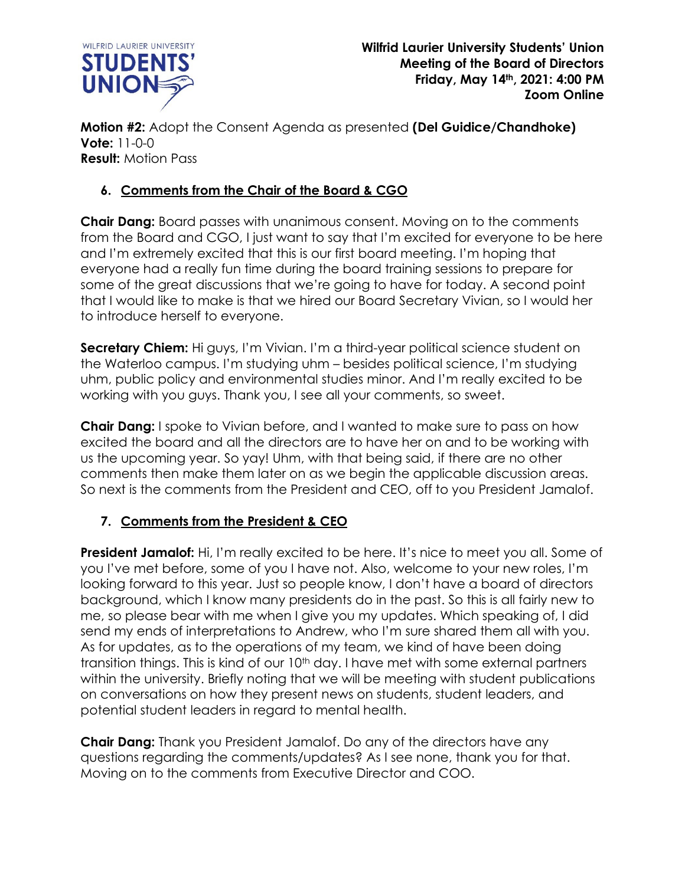

**Motion #2:** Adopt the Consent Agenda as presented **(Del Guidice/Chandhoke) Vote:** 11-0-0 **Result:** Motion Pass

# **6. Comments from the Chair of the Board & CGO**

**Chair Dang:** Board passes with unanimous consent. Moving on to the comments from the Board and CGO, I just want to say that I'm excited for everyone to be here and I'm extremely excited that this is our first board meeting. I'm hoping that everyone had a really fun time during the board training sessions to prepare for some of the great discussions that we're going to have for today. A second point that I would like to make is that we hired our Board Secretary Vivian, so I would her to introduce herself to everyone.

**Secretary Chiem:** Hi guys, I'm Vivian. I'm a third-year political science student on the Waterloo campus. I'm studying uhm – besides political science, I'm studying uhm, public policy and environmental studies minor. And I'm really excited to be working with you guys. Thank you, I see all your comments, so sweet.

**Chair Dang:** I spoke to Vivian before, and I wanted to make sure to pass on how excited the board and all the directors are to have her on and to be working with us the upcoming year. So yay! Uhm, with that being said, if there are no other comments then make them later on as we begin the applicable discussion areas. So next is the comments from the President and CEO, off to you President Jamalof.

# **7. Comments from the President & CEO**

**President Jamalof:** Hi, I'm really excited to be here. It's nice to meet you all. Some of you I've met before, some of you I have not. Also, welcome to your new roles, I'm looking forward to this year. Just so people know, I don't have a board of directors background, which I know many presidents do in the past. So this is all fairly new to me, so please bear with me when I give you my updates. Which speaking of, I did send my ends of interpretations to Andrew, who I'm sure shared them all with you. As for updates, as to the operations of my team, we kind of have been doing transition things. This is kind of our 10<sup>th</sup> day. I have met with some external partners within the university. Briefly noting that we will be meeting with student publications on conversations on how they present news on students, student leaders, and potential student leaders in regard to mental health.

**Chair Dang:** Thank you President Jamalof. Do any of the directors have any questions regarding the comments/updates? As I see none, thank you for that. Moving on to the comments from Executive Director and COO.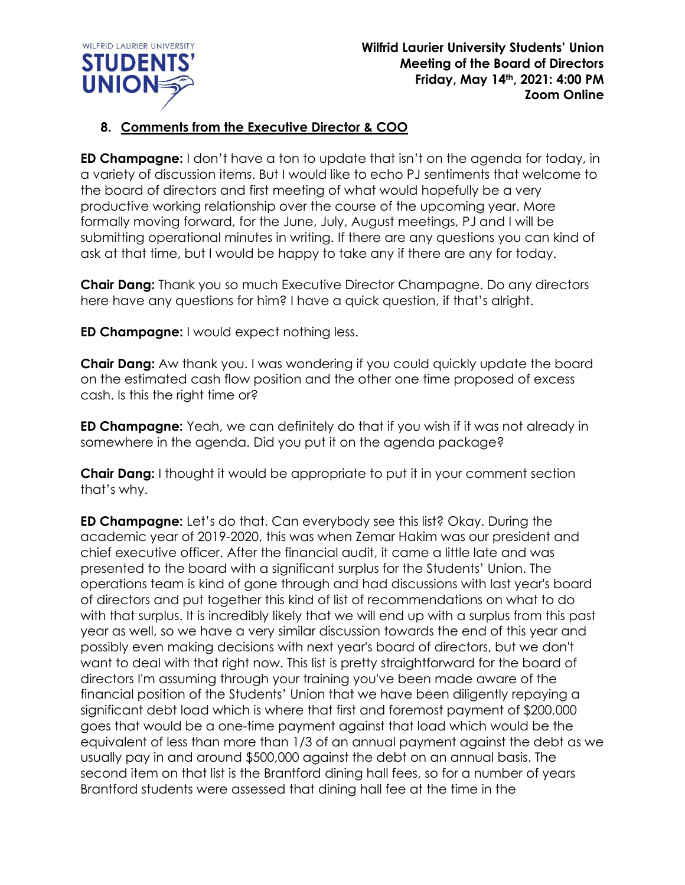

## **8. Comments from the Executive Director & COO**

**ED Champagne:** I don't have a ton to update that isn't on the agenda for today, in a variety of discussion items. But I would like to echo PJ sentiments that welcome to the board of directors and first meeting of what would hopefully be a very productive working relationship over the course of the upcoming year. More formally moving forward, for the June, July, August meetings, PJ and I will be submitting operational minutes in writing. If there are any questions you can kind of ask at that time, but I would be happy to take any if there are any for today.

**Chair Dang:** Thank you so much Executive Director Champagne. Do any directors here have any questions for him? I have a quick question, if that's alright.

**ED Champagne:** I would expect nothing less.

**Chair Dang:** Aw thank you. I was wondering if you could quickly update the board on the estimated cash flow position and the other one time proposed of excess cash. Is this the right time or?

**ED Champagne:** Yeah, we can definitely do that if you wish if it was not already in somewhere in the agenda. Did you put it on the agenda package?

**Chair Dang:** I thought it would be appropriate to put it in your comment section that's why.

**ED Champagne:** Let's do that. Can everybody see this list? Okay. During the academic year of 2019-2020, this was when Zemar Hakim was our president and chief executive officer. After the financial audit, it came a little late and was presented to the board with a significant surplus for the Students' Union. The operations team is kind of gone through and had discussions with last year's board of directors and put together this kind of list of recommendations on what to do with that surplus. It is incredibly likely that we will end up with a surplus from this past year as well, so we have a very similar discussion towards the end of this year and possibly even making decisions with next year's board of directors, but we don't want to deal with that right now. This list is pretty straightforward for the board of directors I'm assuming through your training you've been made aware of the financial position of the Students' Union that we have been diligently repaying a significant debt load which is where that first and foremost payment of \$200,000 goes that would be a one-time payment against that load which would be the equivalent of less than more than 1/3 of an annual payment against the debt as we usually pay in and around \$500,000 against the debt on an annual basis. The second item on that list is the Brantford dining hall fees, so for a number of years Brantford students were assessed that dining hall fee at the time in the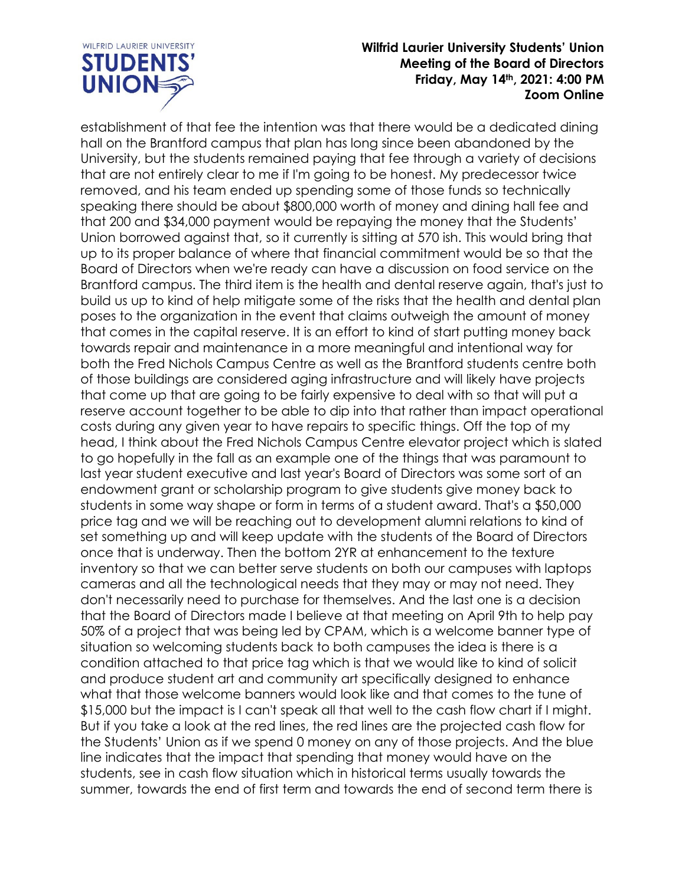

establishment of that fee the intention was that there would be a dedicated dining hall on the Brantford campus that plan has long since been abandoned by the University, but the students remained paying that fee through a variety of decisions that are not entirely clear to me if I'm going to be honest. My predecessor twice removed, and his team ended up spending some of those funds so technically speaking there should be about \$800,000 worth of money and dining hall fee and that 200 and \$34,000 payment would be repaying the money that the Students' Union borrowed against that, so it currently is sitting at 570 ish. This would bring that up to its proper balance of where that financial commitment would be so that the Board of Directors when we're ready can have a discussion on food service on the Brantford campus. The third item is the health and dental reserve again, that's just to build us up to kind of help mitigate some of the risks that the health and dental plan poses to the organization in the event that claims outweigh the amount of money that comes in the capital reserve. It is an effort to kind of start putting money back towards repair and maintenance in a more meaningful and intentional way for both the Fred Nichols Campus Centre as well as the Brantford students centre both of those buildings are considered aging infrastructure and will likely have projects that come up that are going to be fairly expensive to deal with so that will put a reserve account together to be able to dip into that rather than impact operational costs during any given year to have repairs to specific things. Off the top of my head, I think about the Fred Nichols Campus Centre elevator project which is slated to go hopefully in the fall as an example one of the things that was paramount to last year student executive and last year's Board of Directors was some sort of an endowment grant or scholarship program to give students give money back to students in some way shape or form in terms of a student award. That's a \$50,000 price tag and we will be reaching out to development alumni relations to kind of set something up and will keep update with the students of the Board of Directors once that is underway. Then the bottom 2YR at enhancement to the texture inventory so that we can better serve students on both our campuses with laptops cameras and all the technological needs that they may or may not need. They don't necessarily need to purchase for themselves. And the last one is a decision that the Board of Directors made I believe at that meeting on April 9th to help pay 50% of a project that was being led by CPAM, which is a welcome banner type of situation so welcoming students back to both campuses the idea is there is a condition attached to that price tag which is that we would like to kind of solicit and produce student art and community art specifically designed to enhance what that those welcome banners would look like and that comes to the tune of \$15,000 but the impact is I can't speak all that well to the cash flow chart if I might. But if you take a look at the red lines, the red lines are the projected cash flow for the Students' Union as if we spend 0 money on any of those projects. And the blue line indicates that the impact that spending that money would have on the students, see in cash flow situation which in historical terms usually towards the summer, towards the end of first term and towards the end of second term there is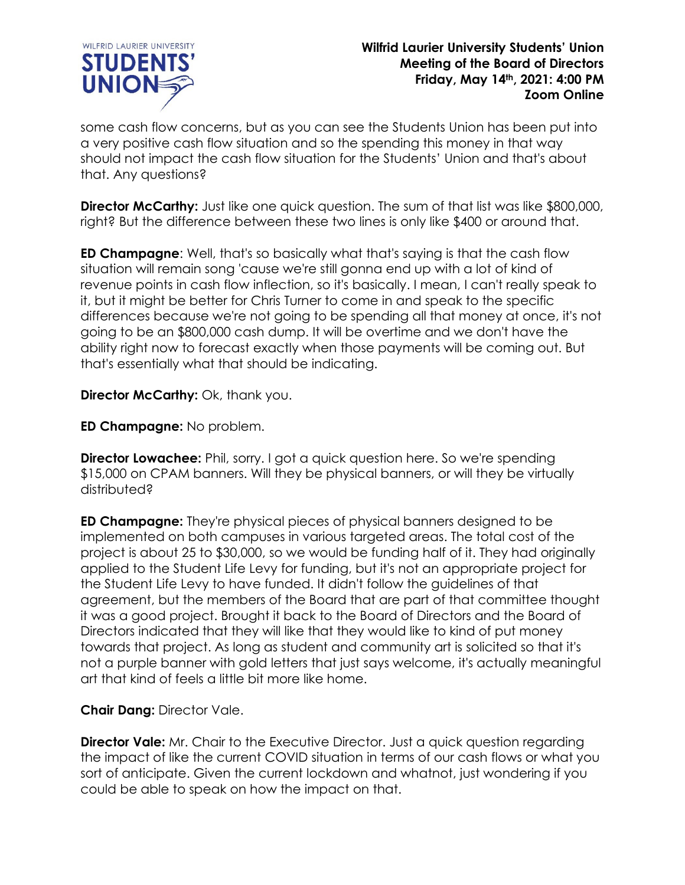

some cash flow concerns, but as you can see the Students Union has been put into a very positive cash flow situation and so the spending this money in that way should not impact the cash flow situation for the Students' Union and that's about that. Any questions?

**Director McCarthy:** Just like one quick question. The sum of that list was like \$800,000, right? But the difference between these two lines is only like \$400 or around that.

**ED Champagne**: Well, that's so basically what that's saying is that the cash flow situation will remain song 'cause we're still gonna end up with a lot of kind of revenue points in cash flow inflection, so it's basically. I mean, I can't really speak to it, but it might be better for Chris Turner to come in and speak to the specific differences because we're not going to be spending all that money at once, it's not going to be an \$800,000 cash dump. It will be overtime and we don't have the ability right now to forecast exactly when those payments will be coming out. But that's essentially what that should be indicating.

**Director McCarthy:** Ok, thank you.

**ED Champagne:** No problem.

**Director Lowachee:** Phil, sorry. I got a quick question here. So we're spending \$15,000 on CPAM banners. Will they be physical banners, or will they be virtually distributed?

**ED Champagne:** They're physical pieces of physical banners designed to be implemented on both campuses in various targeted areas. The total cost of the project is about 25 to \$30,000, so we would be funding half of it. They had originally applied to the Student Life Levy for funding, but it's not an appropriate project for the Student Life Levy to have funded. It didn't follow the guidelines of that agreement, but the members of the Board that are part of that committee thought it was a good project. Brought it back to the Board of Directors and the Board of Directors indicated that they will like that they would like to kind of put money towards that project. As long as student and community art is solicited so that it's not a purple banner with gold letters that just says welcome, it's actually meaningful art that kind of feels a little bit more like home.

**Chair Dang:** Director Vale.

**Director Vale:** Mr. Chair to the Executive Director. Just a quick question regarding the impact of like the current COVID situation in terms of our cash flows or what you sort of anticipate. Given the current lockdown and whatnot, just wondering if you could be able to speak on how the impact on that.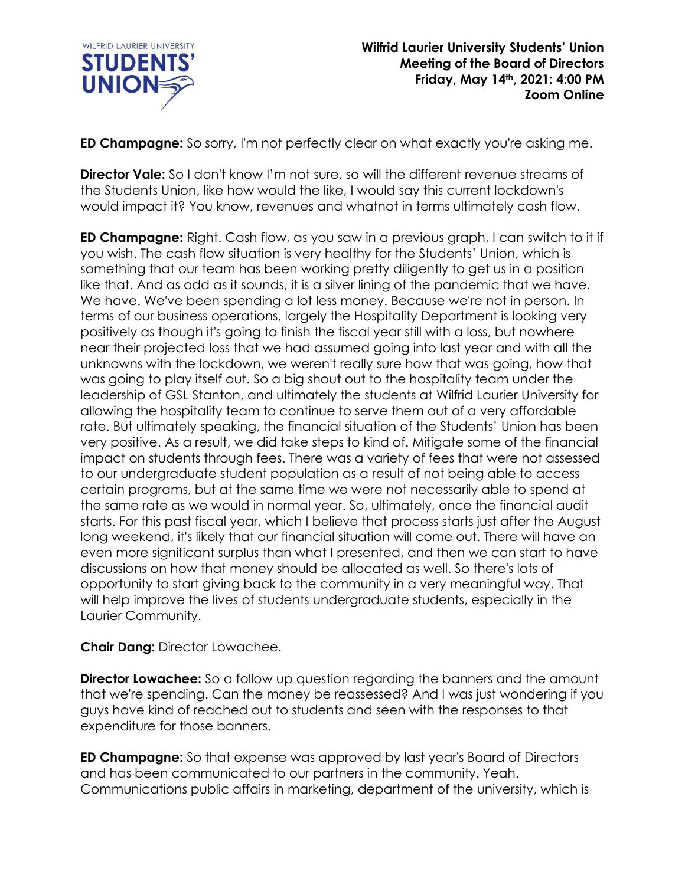

**ED Champagne:** So sorry, I'm not perfectly clear on what exactly you're asking me.

**Director Vale:** So I don't know I'm not sure, so will the different revenue streams of the Students Union, like how would the like, I would say this current lockdown's would impact it? You know, revenues and whatnot in terms ultimately cash flow.

**ED Champagne:** Right. Cash flow, as you saw in a previous graph, I can switch to it if you wish. The cash flow situation is very healthy for the Students' Union, which is something that our team has been working pretty diligently to get us in a position like that. And as odd as it sounds, it is a silver lining of the pandemic that we have. We have. We've been spending a lot less money. Because we're not in person. In terms of our business operations, largely the Hospitality Department is looking very positively as though it's going to finish the fiscal year still with a loss, but nowhere near their projected loss that we had assumed going into last year and with all the unknowns with the lockdown, we weren't really sure how that was going, how that was going to play itself out. So a big shout out to the hospitality team under the leadership of GSL Stanton, and ultimately the students at Wilfrid Laurier University for allowing the hospitality team to continue to serve them out of a very affordable rate. But ultimately speaking, the financial situation of the Students' Union has been very positive. As a result, we did take steps to kind of. Mitigate some of the financial impact on students through fees. There was a variety of fees that were not assessed to our undergraduate student population as a result of not being able to access certain programs, but at the same time we were not necessarily able to spend at the same rate as we would in normal year. So, ultimately, once the financial audit starts. For this past fiscal year, which I believe that process starts just after the August long weekend, it's likely that our financial situation will come out. There will have an even more significant surplus than what I presented, and then we can start to have discussions on how that money should be allocated as well. So there's lots of opportunity to start giving back to the community in a very meaningful way. That will help improve the lives of students undergraduate students, especially in the Laurier Community.

## **Chair Dang:** Director Lowachee.

**Director Lowachee:** So a follow up question regarding the banners and the amount that we're spending. Can the money be reassessed? And I was just wondering if you guys have kind of reached out to students and seen with the responses to that expenditure for those banners.

**ED Champagne:** So that expense was approved by last year's Board of Directors and has been communicated to our partners in the community. Yeah. Communications public affairs in marketing, department of the university, which is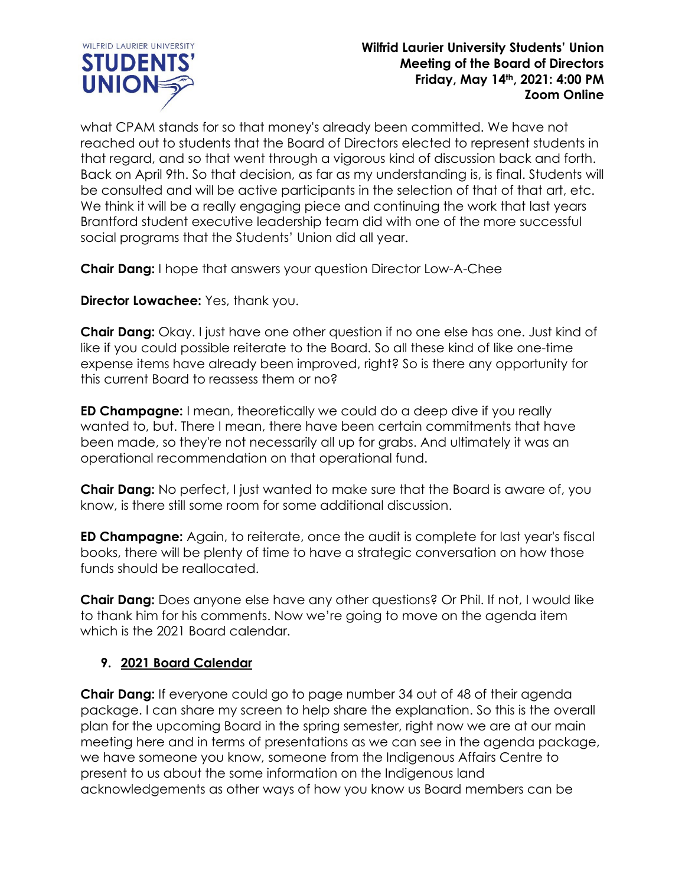

what CPAM stands for so that money's already been committed. We have not reached out to students that the Board of Directors elected to represent students in that regard, and so that went through a vigorous kind of discussion back and forth. Back on April 9th. So that decision, as far as my understanding is, is final. Students will be consulted and will be active participants in the selection of that of that art, etc. We think it will be a really engaging piece and continuing the work that last years Brantford student executive leadership team did with one of the more successful social programs that the Students' Union did all year.

**Chair Dang:** I hope that answers your question Director Low-A-Chee

**Director Lowachee:** Yes, thank you.

**Chair Dang:** Okay. I just have one other question if no one else has one. Just kind of like if you could possible reiterate to the Board. So all these kind of like one-time expense items have already been improved, right? So is there any opportunity for this current Board to reassess them or no?

**ED Champagne:** I mean, theoretically we could do a deep dive if you really wanted to, but. There I mean, there have been certain commitments that have been made, so they're not necessarily all up for grabs. And ultimately it was an operational recommendation on that operational fund.

**Chair Dang:** No perfect, I just wanted to make sure that the Board is aware of, you know, is there still some room for some additional discussion.

**ED Champagne:** Again, to reiterate, once the audit is complete for last year's fiscal books, there will be plenty of time to have a strategic conversation on how those funds should be reallocated.

**Chair Dang:** Does anyone else have any other questions? Or Phil. If not, I would like to thank him for his comments. Now we're going to move on the agenda item which is the 2021 Board calendar.

## **9. 2021 Board Calendar**

**Chair Dang:** If everyone could go to page number 34 out of 48 of their agenda package. I can share my screen to help share the explanation. So this is the overall plan for the upcoming Board in the spring semester, right now we are at our main meeting here and in terms of presentations as we can see in the agenda package, we have someone you know, someone from the Indigenous Affairs Centre to present to us about the some information on the Indigenous land acknowledgements as other ways of how you know us Board members can be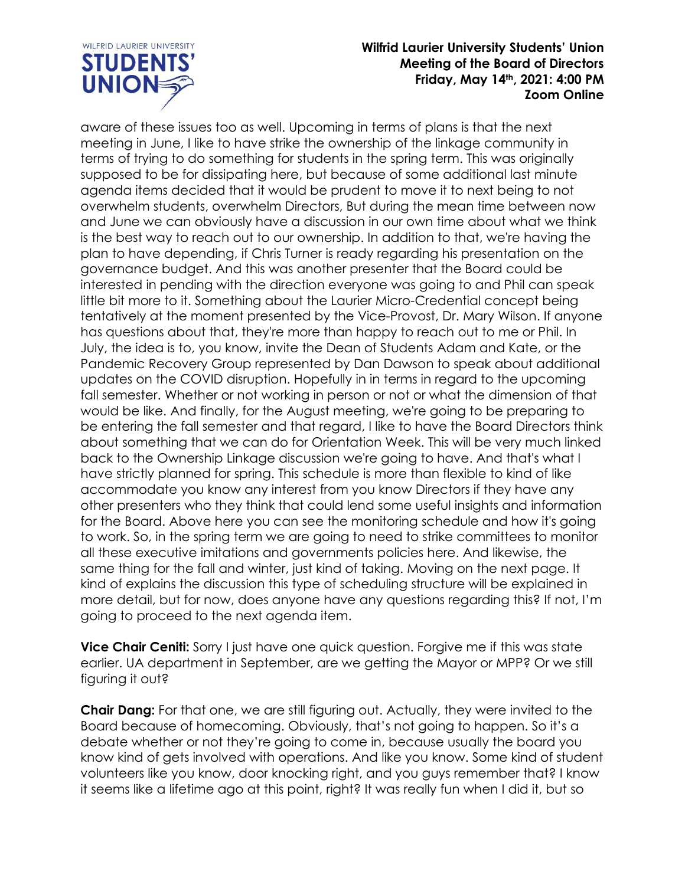

aware of these issues too as well. Upcoming in terms of plans is that the next meeting in June, I like to have strike the ownership of the linkage community in terms of trying to do something for students in the spring term. This was originally supposed to be for dissipating here, but because of some additional last minute agenda items decided that it would be prudent to move it to next being to not overwhelm students, overwhelm Directors, But during the mean time between now and June we can obviously have a discussion in our own time about what we think is the best way to reach out to our ownership. In addition to that, we're having the plan to have depending, if Chris Turner is ready regarding his presentation on the governance budget. And this was another presenter that the Board could be interested in pending with the direction everyone was going to and Phil can speak little bit more to it. Something about the Laurier Micro-Credential concept being tentatively at the moment presented by the Vice-Provost, Dr. Mary Wilson. If anyone has questions about that, they're more than happy to reach out to me or Phil. In July, the idea is to, you know, invite the Dean of Students Adam and Kate, or the Pandemic Recovery Group represented by Dan Dawson to speak about additional updates on the COVID disruption. Hopefully in in terms in regard to the upcoming fall semester. Whether or not working in person or not or what the dimension of that would be like. And finally, for the August meeting, we're going to be preparing to be entering the fall semester and that regard, I like to have the Board Directors think about something that we can do for Orientation Week. This will be very much linked back to the Ownership Linkage discussion we're going to have. And that's what I have strictly planned for spring. This schedule is more than flexible to kind of like accommodate you know any interest from you know Directors if they have any other presenters who they think that could lend some useful insights and information for the Board. Above here you can see the monitoring schedule and how it's going to work. So, in the spring term we are going to need to strike committees to monitor all these executive imitations and governments policies here. And likewise, the same thing for the fall and winter, just kind of taking. Moving on the next page. It kind of explains the discussion this type of scheduling structure will be explained in more detail, but for now, does anyone have any questions regarding this? If not, I'm going to proceed to the next agenda item.

**Vice Chair Ceniti:** Sorry I just have one quick question. Forgive me if this was state earlier. UA department in September, are we getting the Mayor or MPP? Or we still figuring it out?

**Chair Dang:** For that one, we are still figuring out. Actually, they were invited to the Board because of homecoming. Obviously, that's not going to happen. So it's a debate whether or not they're going to come in, because usually the board you know kind of gets involved with operations. And like you know. Some kind of student volunteers like you know, door knocking right, and you guys remember that? I know it seems like a lifetime ago at this point, right? It was really fun when I did it, but so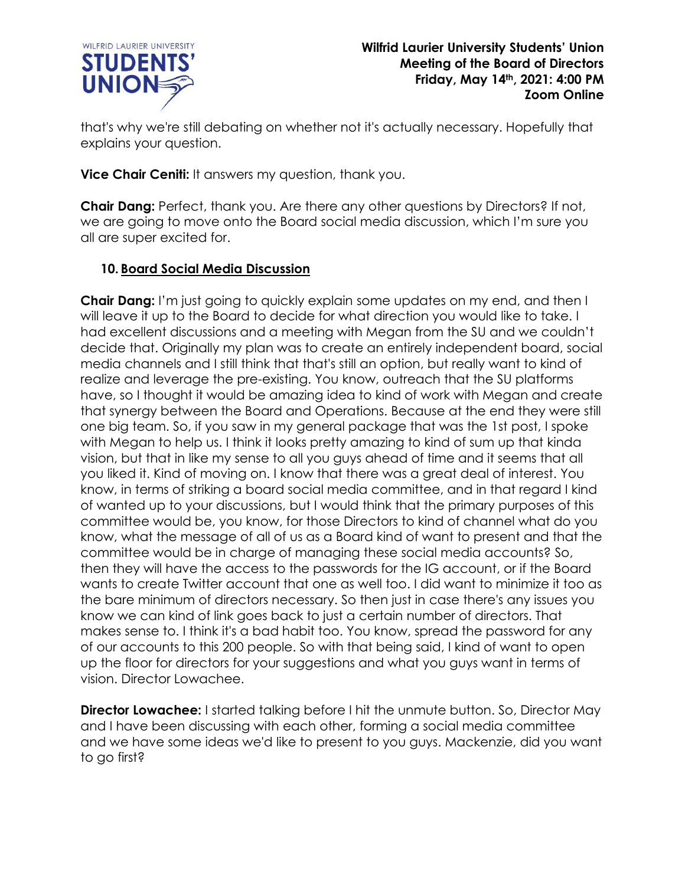

that's why we're still debating on whether not it's actually necessary. Hopefully that explains your question.

**Vice Chair Ceniti:** It answers my question, thank you.

**Chair Dang:** Perfect, thank you. Are there any other questions by Directors? If not, we are going to move onto the Board social media discussion, which I'm sure you all are super excited for.

## **10. Board Social Media Discussion**

**Chair Dang:** I'm just going to quickly explain some updates on my end, and then I will leave it up to the Board to decide for what direction you would like to take. I had excellent discussions and a meeting with Megan from the SU and we couldn't decide that. Originally my plan was to create an entirely independent board, social media channels and I still think that that's still an option, but really want to kind of realize and leverage the pre-existing. You know, outreach that the SU platforms have, so I thought it would be amazing idea to kind of work with Megan and create that synergy between the Board and Operations. Because at the end they were still one big team. So, if you saw in my general package that was the 1st post, I spoke with Megan to help us. I think it looks pretty amazing to kind of sum up that kinda vision, but that in like my sense to all you guys ahead of time and it seems that all you liked it. Kind of moving on. I know that there was a great deal of interest. You know, in terms of striking a board social media committee, and in that regard I kind of wanted up to your discussions, but I would think that the primary purposes of this committee would be, you know, for those Directors to kind of channel what do you know, what the message of all of us as a Board kind of want to present and that the committee would be in charge of managing these social media accounts? So, then they will have the access to the passwords for the IG account, or if the Board wants to create Twitter account that one as well too. I did want to minimize it too as the bare minimum of directors necessary. So then just in case there's any issues you know we can kind of link goes back to just a certain number of directors. That makes sense to. I think it's a bad habit too. You know, spread the password for any of our accounts to this 200 people. So with that being said, I kind of want to open up the floor for directors for your suggestions and what you guys want in terms of vision. Director Lowachee.

**Director Lowachee:** I started talking before I hit the unmute button. So, Director May and I have been discussing with each other, forming a social media committee and we have some ideas we'd like to present to you guys. Mackenzie, did you want to go first?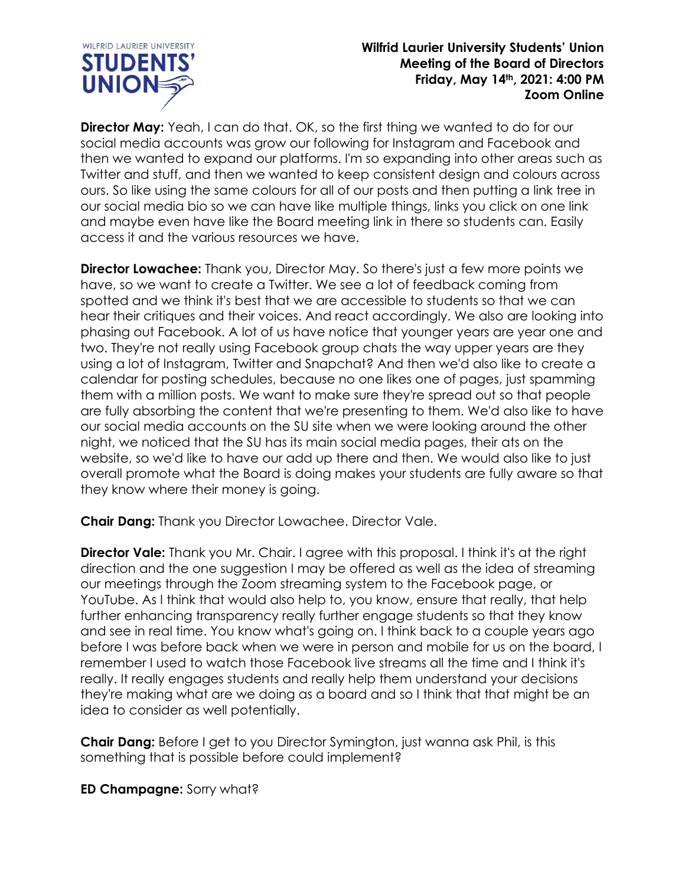

**Director May:** Yeah, I can do that. OK, so the first thing we wanted to do for our social media accounts was grow our following for Instagram and Facebook and then we wanted to expand our platforms. I'm so expanding into other areas such as Twitter and stuff, and then we wanted to keep consistent design and colours across ours. So like using the same colours for all of our posts and then putting a link tree in our social media bio so we can have like multiple things, links you click on one link and maybe even have like the Board meeting link in there so students can. Easily access it and the various resources we have.

**Director Lowachee:** Thank you, Director May. So there's just a few more points we have, so we want to create a Twitter. We see a lot of feedback coming from spotted and we think it's best that we are accessible to students so that we can hear their critiques and their voices. And react accordingly. We also are looking into phasing out Facebook. A lot of us have notice that younger years are year one and two. They're not really using Facebook group chats the way upper years are they using a lot of Instagram, Twitter and Snapchat? And then we'd also like to create a calendar for posting schedules, because no one likes one of pages, just spamming them with a million posts. We want to make sure they're spread out so that people are fully absorbing the content that we're presenting to them. We'd also like to have our social media accounts on the SU site when we were looking around the other night, we noticed that the SU has its main social media pages, their ats on the website, so we'd like to have our add up there and then. We would also like to just overall promote what the Board is doing makes your students are fully aware so that they know where their money is going.

**Chair Dang:** Thank you Director Lowachee. Director Vale.

**Director Vale:** Thank you Mr. Chair. I agree with this proposal. I think it's at the right direction and the one suggestion I may be offered as well as the idea of streaming our meetings through the Zoom streaming system to the Facebook page, or YouTube. As I think that would also help to, you know, ensure that really, that help further enhancing transparency really further engage students so that they know and see in real time. You know what's going on. I think back to a couple years ago before I was before back when we were in person and mobile for us on the board, I remember I used to watch those Facebook live streams all the time and I think it's really. It really engages students and really help them understand your decisions they're making what are we doing as a board and so I think that that might be an idea to consider as well potentially.

**Chair Dang:** Before I get to you Director Symington, just wanna ask Phil, is this something that is possible before could implement?

**ED Champagne:** Sorry what?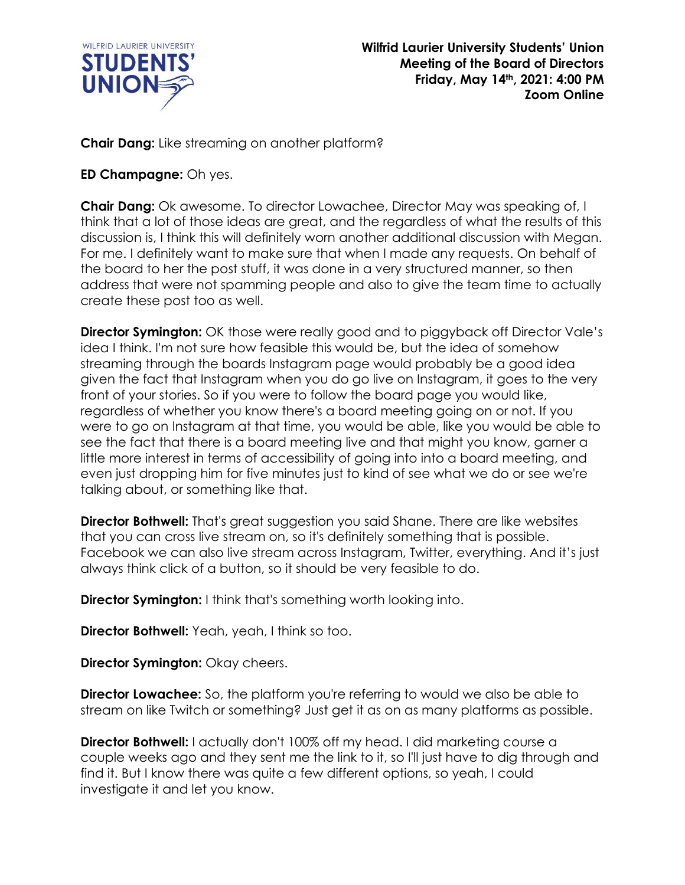

**Chair Dang:** Like streaming on another platform?

## **ED Champagne:** Oh yes.

**Chair Dang:** Ok awesome. To director Lowachee, Director May was speaking of, I think that a lot of those ideas are great, and the regardless of what the results of this discussion is, I think this will definitely worn another additional discussion with Megan. For me. I definitely want to make sure that when I made any requests. On behalf of the board to her the post stuff, it was done in a very structured manner, so then address that were not spamming people and also to give the team time to actually create these post too as well.

**Director Symington:** OK those were really good and to piggyback off Director Vale's idea I think. I'm not sure how feasible this would be, but the idea of somehow streaming through the boards Instagram page would probably be a good idea given the fact that Instagram when you do go live on Instagram, it goes to the very front of your stories. So if you were to follow the board page you would like, regardless of whether you know there's a board meeting going on or not. If you were to go on Instagram at that time, you would be able, like you would be able to see the fact that there is a board meeting live and that might you know, garner a little more interest in terms of accessibility of going into into a board meeting, and even just dropping him for five minutes just to kind of see what we do or see we're talking about, or something like that.

**Director Bothwell:** That's great suggestion you said Shane. There are like websites that you can cross live stream on, so it's definitely something that is possible. Facebook we can also live stream across Instagram, Twitter, everything. And it's just always think click of a button, so it should be very feasible to do.

**Director Symington:** I think that's something worth looking into.

**Director Bothwell:** Yeah, yeah, I think so too.

**Director Symington:** Okay cheers.

**Director Lowachee:** So, the platform you're referring to would we also be able to stream on like Twitch or something? Just get it as on as many platforms as possible.

**Director Bothwell:** I actually don't 100% off my head. I did marketing course a couple weeks ago and they sent me the link to it, so I'll just have to dig through and find it. But I know there was quite a few different options, so yeah, I could investigate it and let you know.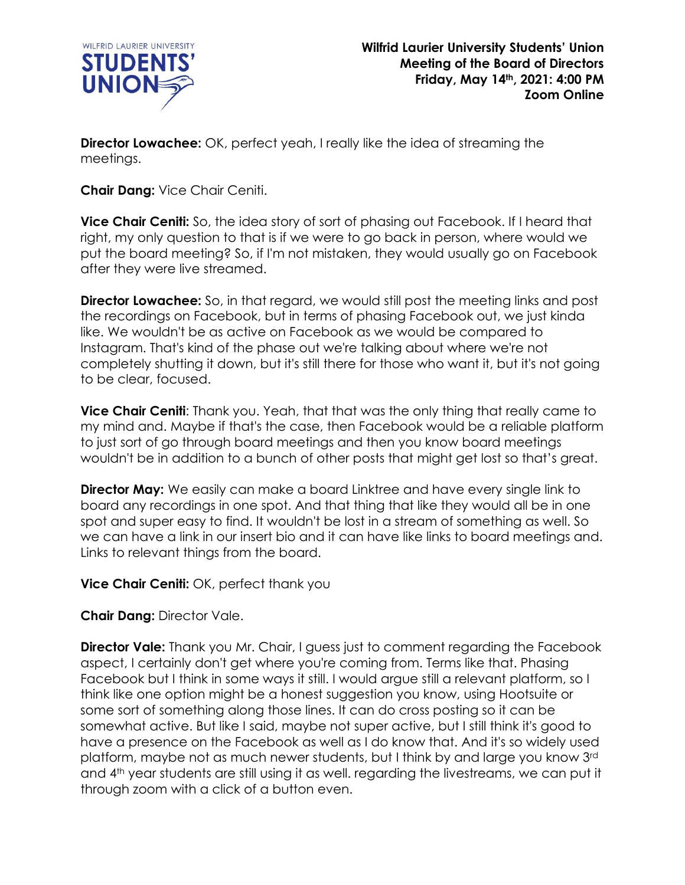

**Director Lowachee:** OK, perfect yeah, I really like the idea of streaming the meetings.

**Chair Dang:** Vice Chair Ceniti.

**Vice Chair Ceniti:** So, the idea story of sort of phasing out Facebook. If I heard that right, my only question to that is if we were to go back in person, where would we put the board meeting? So, if I'm not mistaken, they would usually go on Facebook after they were live streamed.

**Director Lowachee:** So, in that regard, we would still post the meeting links and post the recordings on Facebook, but in terms of phasing Facebook out, we just kinda like. We wouldn't be as active on Facebook as we would be compared to Instagram. That's kind of the phase out we're talking about where we're not completely shutting it down, but it's still there for those who want it, but it's not going to be clear, focused.

**Vice Chair Ceniti:** Thank you. Yeah, that that was the only thing that really came to my mind and. Maybe if that's the case, then Facebook would be a reliable platform to just sort of go through board meetings and then you know board meetings wouldn't be in addition to a bunch of other posts that might get lost so that's great.

**Director May:** We easily can make a board Linktree and have every single link to board any recordings in one spot. And that thing that like they would all be in one spot and super easy to find. It wouldn't be lost in a stream of something as well. So we can have a link in our insert bio and it can have like links to board meetings and. Links to relevant things from the board.

**Vice Chair Ceniti:** OK, perfect thank you

**Chair Dang:** Director Vale.

**Director Vale:** Thank you Mr. Chair, I guess just to comment regarding the Facebook aspect, I certainly don't get where you're coming from. Terms like that. Phasing Facebook but I think in some ways it still. I would argue still a relevant platform, so I think like one option might be a honest suggestion you know, using Hootsuite or some sort of something along those lines. It can do cross posting so it can be somewhat active. But like I said, maybe not super active, but I still think it's good to have a presence on the Facebook as well as I do know that. And it's so widely used platform, maybe not as much newer students, but I think by and large you know 3rd and 4th year students are still using it as well. regarding the livestreams, we can put it through zoom with a click of a button even.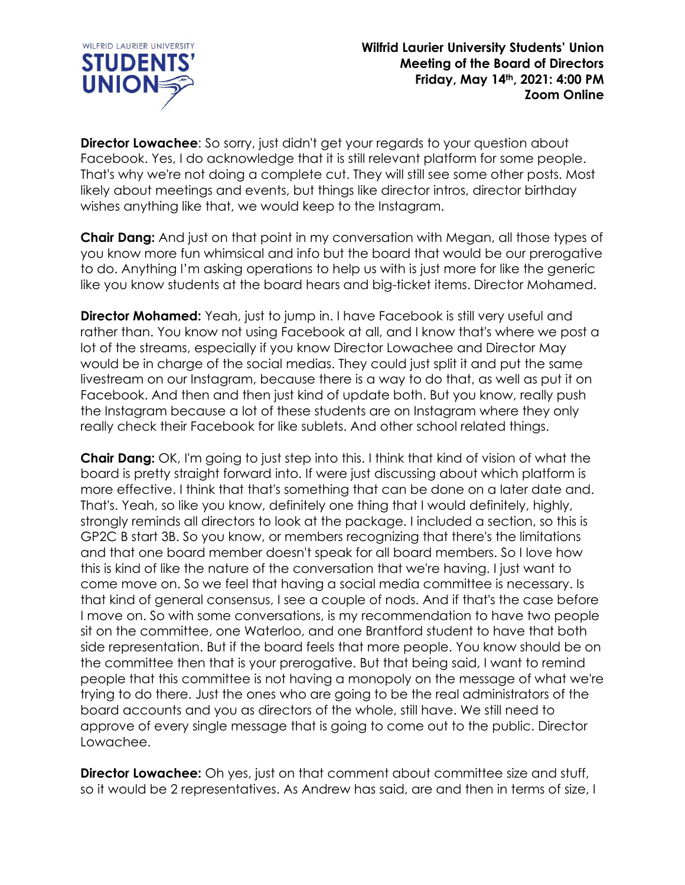

**Director Lowachee:** So sorry, just didn't get your regards to your question about Facebook. Yes, I do acknowledge that it is still relevant platform for some people. That's why we're not doing a complete cut. They will still see some other posts. Most likely about meetings and events, but things like director intros, director birthday wishes anything like that, we would keep to the Instagram.

**Chair Dang:** And just on that point in my conversation with Megan, all those types of you know more fun whimsical and info but the board that would be our prerogative to do. Anything I'm asking operations to help us with is just more for like the generic like you know students at the board hears and big-ticket items. Director Mohamed.

**Director Mohamed:** Yeah, just to jump in. I have Facebook is still very useful and rather than. You know not using Facebook at all, and I know that's where we post a lot of the streams, especially if you know Director Lowachee and Director May would be in charge of the social medias. They could just split it and put the same livestream on our Instagram, because there is a way to do that, as well as put it on Facebook. And then and then just kind of update both. But you know, really push the Instagram because a lot of these students are on Instagram where they only really check their Facebook for like sublets. And other school related things.

**Chair Dang:** OK, I'm going to just step into this. I think that kind of vision of what the board is pretty straight forward into. If were just discussing about which platform is more effective. I think that that's something that can be done on a later date and. That's. Yeah, so like you know, definitely one thing that I would definitely, highly, strongly reminds all directors to look at the package. I included a section, so this is GP2C B start 3B. So you know, or members recognizing that there's the limitations and that one board member doesn't speak for all board members. So I love how this is kind of like the nature of the conversation that we're having. I just want to come move on. So we feel that having a social media committee is necessary. Is that kind of general consensus, I see a couple of nods. And if that's the case before I move on. So with some conversations, is my recommendation to have two people sit on the committee, one Waterloo, and one Brantford student to have that both side representation. But if the board feels that more people. You know should be on the committee then that is your prerogative. But that being said, I want to remind people that this committee is not having a monopoly on the message of what we're trying to do there. Just the ones who are going to be the real administrators of the board accounts and you as directors of the whole, still have. We still need to approve of every single message that is going to come out to the public. Director Lowachee.

**Director Lowachee:** Oh yes, just on that comment about committee size and stuff, so it would be 2 representatives. As Andrew has said, are and then in terms of size, I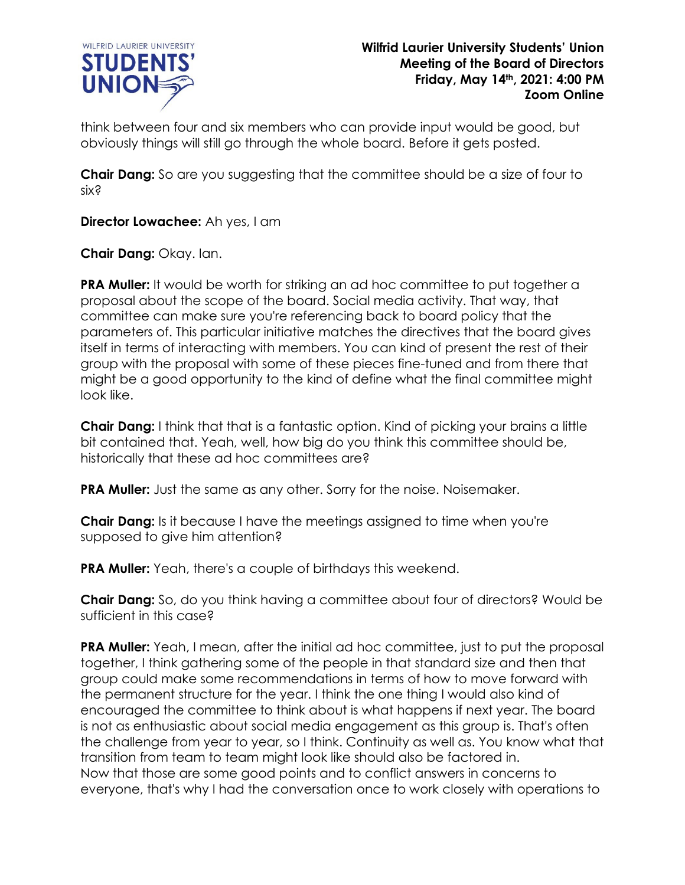

think between four and six members who can provide input would be good, but obviously things will still go through the whole board. Before it gets posted.

**Chair Dang:** So are you suggesting that the committee should be a size of four to six?

**Director Lowachee:** Ah yes, I am

**Chair Dang:** Okay. Ian.

**PRA Muller:** It would be worth for striking an ad hoc committee to put together a proposal about the scope of the board. Social media activity. That way, that committee can make sure you're referencing back to board policy that the parameters of. This particular initiative matches the directives that the board gives itself in terms of interacting with members. You can kind of present the rest of their group with the proposal with some of these pieces fine-tuned and from there that might be a good opportunity to the kind of define what the final committee might look like.

**Chair Dang:** I think that that is a fantastic option. Kind of picking your brains a little bit contained that. Yeah, well, how big do you think this committee should be, historically that these ad hoc committees are?

**PRA Muller:** Just the same as any other. Sorry for the noise. Noisemaker.

**Chair Dang:** Is it because I have the meetings assigned to time when you're supposed to give him attention?

**PRA Muller:** Yeah, there's a couple of birthdays this weekend.

**Chair Dang:** So, do you think having a committee about four of directors? Would be sufficient in this case?

**PRA Muller:** Yeah, I mean, after the initial ad hoc committee, just to put the proposal together, I think gathering some of the people in that standard size and then that group could make some recommendations in terms of how to move forward with the permanent structure for the year. I think the one thing I would also kind of encouraged the committee to think about is what happens if next year. The board is not as enthusiastic about social media engagement as this group is. That's often the challenge from year to year, so I think. Continuity as well as. You know what that transition from team to team might look like should also be factored in. Now that those are some good points and to conflict answers in concerns to everyone, that's why I had the conversation once to work closely with operations to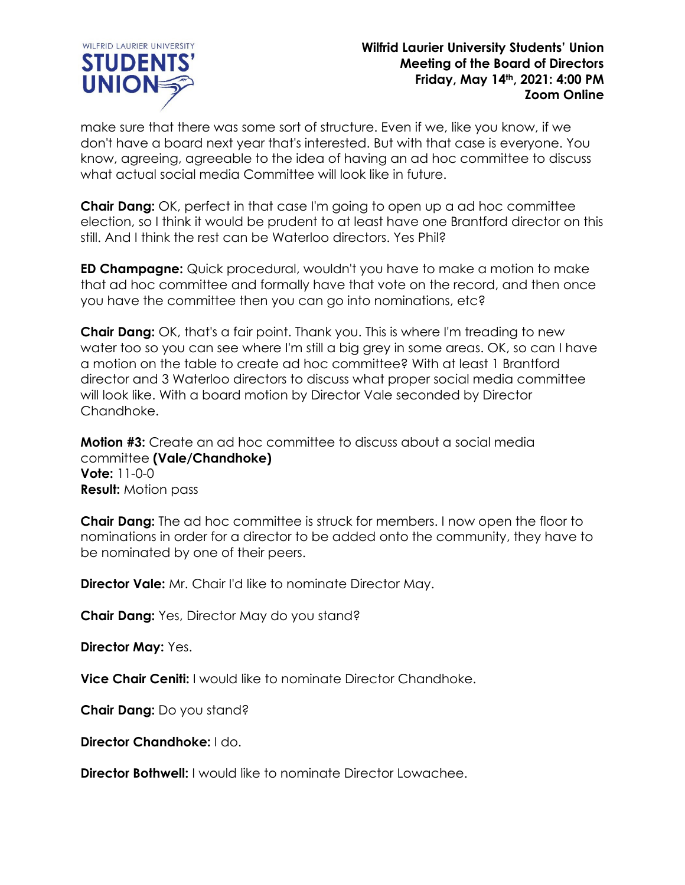

make sure that there was some sort of structure. Even if we, like you know, if we don't have a board next year that's interested. But with that case is everyone. You know, agreeing, agreeable to the idea of having an ad hoc committee to discuss what actual social media Committee will look like in future.

**Chair Dang:** OK, perfect in that case I'm going to open up a ad hoc committee election, so I think it would be prudent to at least have one Brantford director on this still. And I think the rest can be Waterloo directors. Yes Phil?

**ED Champagne:** Quick procedural, wouldn't you have to make a motion to make that ad hoc committee and formally have that vote on the record, and then once you have the committee then you can go into nominations, etc?

**Chair Dang:** OK, that's a fair point. Thank you. This is where I'm treading to new water too so you can see where I'm still a big grey in some areas. OK, so can I have a motion on the table to create ad hoc committee? With at least 1 Brantford director and 3 Waterloo directors to discuss what proper social media committee will look like. With a board motion by Director Vale seconded by Director Chandhoke.

**Motion #3:** Create an ad hoc committee to discuss about a social media committee **(Vale/Chandhoke) Vote:** 11-0-0 **Result:** Motion pass

**Chair Dang:** The ad hoc committee is struck for members. I now open the floor to nominations in order for a director to be added onto the community, they have to be nominated by one of their peers.

**Director Vale:** Mr. Chair I'd like to nominate Director May.

**Chair Dang:** Yes, Director May do you stand?

**Director May:** Yes.

**Vice Chair Ceniti:** I would like to nominate Director Chandhoke.

**Chair Dang:** Do you stand?

**Director Chandhoke:** I do.

**Director Bothwell:** I would like to nominate Director Lowachee.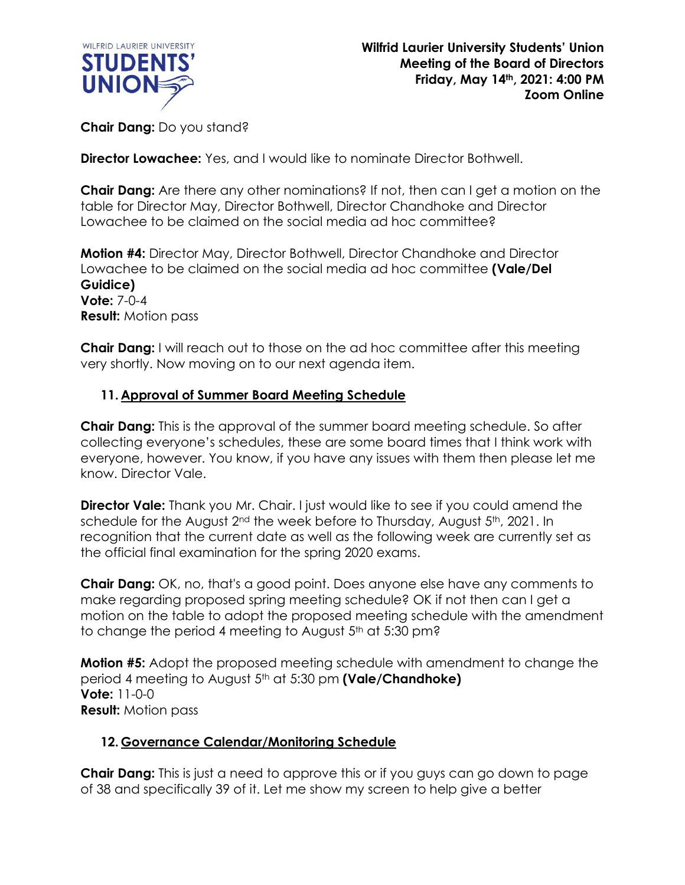

**Chair Dang:** Do you stand?

**Director Lowachee:** Yes, and I would like to nominate Director Bothwell.

**Chair Dang:** Are there any other nominations? If not, then can I get a motion on the table for Director May, Director Bothwell, Director Chandhoke and Director Lowachee to be claimed on the social media ad hoc committee?

**Motion #4:** Director May, Director Bothwell, Director Chandhoke and Director Lowachee to be claimed on the social media ad hoc committee **(Vale/Del Guidice) Vote:** 7-0-4 **Result:** Motion pass

**Chair Dang:** I will reach out to those on the ad hoc committee after this meeting very shortly. Now moving on to our next agenda item.

## **11. Approval of Summer Board Meeting Schedule**

**Chair Dang:** This is the approval of the summer board meeting schedule. So after collecting everyone's schedules, these are some board times that I think work with everyone, however. You know, if you have any issues with them then please let me know. Director Vale.

**Director Vale:** Thank you Mr. Chair. I just would like to see if you could amend the schedule for the August  $2<sup>nd</sup>$  the week before to Thursday, August  $5<sup>th</sup>$ , 2021. In recognition that the current date as well as the following week are currently set as the official final examination for the spring 2020 exams.

**Chair Dang:** OK, no, that's a good point. Does anyone else have any comments to make regarding proposed spring meeting schedule? OK if not then can I get a motion on the table to adopt the proposed meeting schedule with the amendment to change the period 4 meeting to August 5<sup>th</sup> at 5:30 pm?

**Motion #5:** Adopt the proposed meeting schedule with amendment to change the period 4 meeting to August 5th at 5:30 pm **(Vale/Chandhoke) Vote:** 11-0-0 **Result:** Motion pass

# **12. Governance Calendar/Monitoring Schedule**

**Chair Dang:** This is just a need to approve this or if you guys can go down to page of 38 and specifically 39 of it. Let me show my screen to help give a better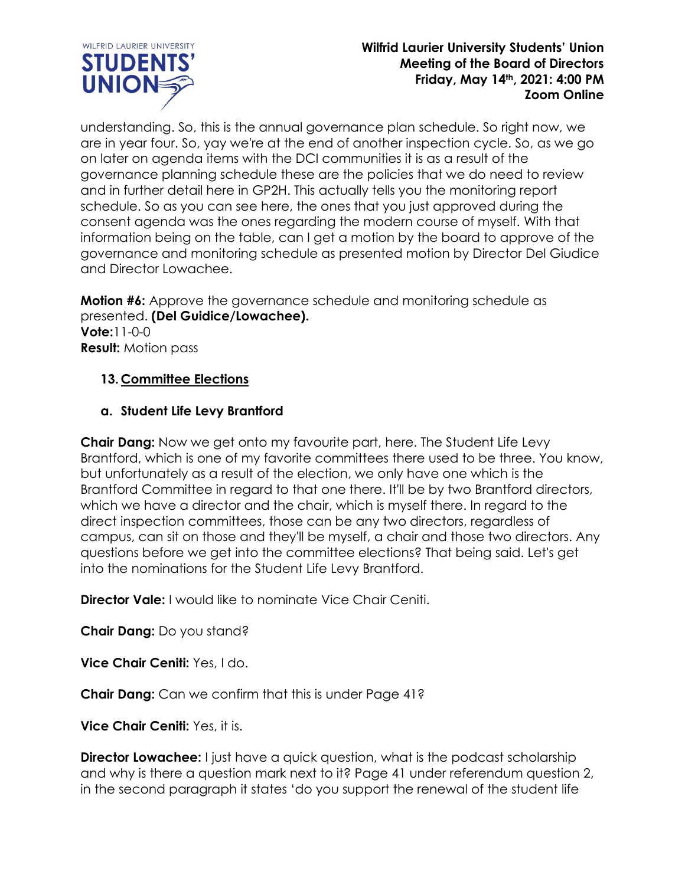

understanding. So, this is the annual governance plan schedule. So right now, we are in year four. So, yay we're at the end of another inspection cycle. So, as we go on later on agenda items with the DCI communities it is as a result of the governance planning schedule these are the policies that we do need to review and in further detail here in GP2H. This actually tells you the monitoring report schedule. So as you can see here, the ones that you just approved during the consent agenda was the ones regarding the modern course of myself. With that information being on the table, can I get a motion by the board to approve of the governance and monitoring schedule as presented motion by Director Del Giudice and Director Lowachee.

**Motion #6:** Approve the governance schedule and monitoring schedule as presented. **(Del Guidice/Lowachee). Vote:**11-0-0 **Result:** Motion pass

## **13. Committee Elections**

## **a. Student Life Levy Brantford**

**Chair Dang:** Now we get onto my favourite part, here. The Student Life Levy Brantford, which is one of my favorite committees there used to be three. You know, but unfortunately as a result of the election, we only have one which is the Brantford Committee in regard to that one there. It'll be by two Brantford directors, which we have a director and the chair, which is myself there. In regard to the direct inspection committees, those can be any two directors, regardless of campus, can sit on those and they'll be myself, a chair and those two directors. Any questions before we get into the committee elections? That being said. Let's get into the nominations for the Student Life Levy Brantford.

**Director Vale:** I would like to nominate Vice Chair Ceniti.

**Chair Dang:** Do you stand?

**Vice Chair Ceniti:** Yes, I do.

**Chair Dang:** Can we confirm that this is under Page 41?

**Vice Chair Ceniti:** Yes, it is.

**Director Lowachee:** I just have a quick question, what is the podcast scholarship and why is there a question mark next to it? Page 41 under referendum question 2, in the second paragraph it states 'do you support the renewal of the student life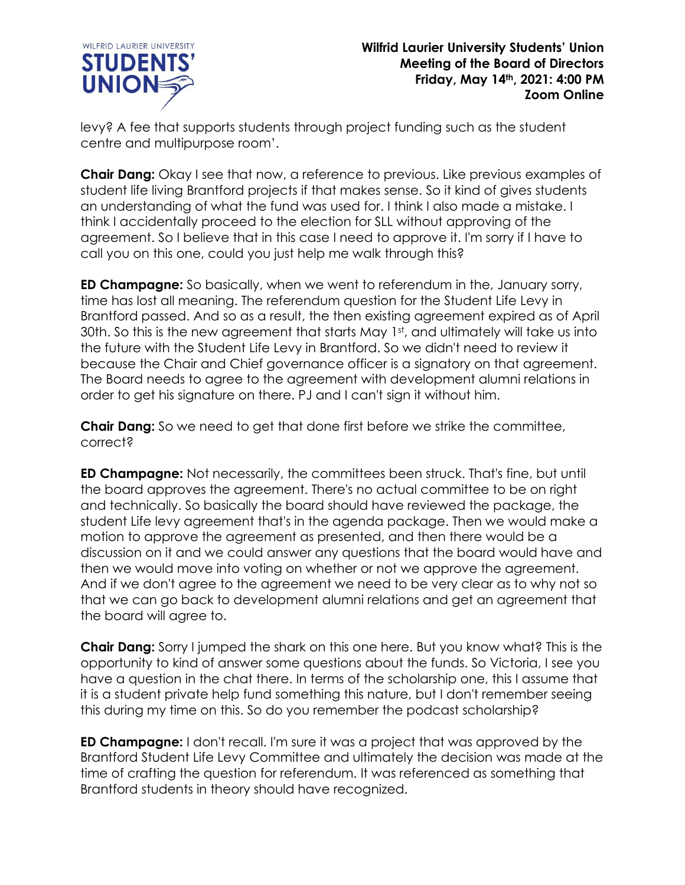

levy? A fee that supports students through project funding such as the student centre and multipurpose room'.

**Chair Dang:** Okay I see that now, a reference to previous. Like previous examples of student life living Brantford projects if that makes sense. So it kind of gives students an understanding of what the fund was used for. I think I also made a mistake. I think I accidentally proceed to the election for SLL without approving of the agreement. So I believe that in this case I need to approve it. I'm sorry if I have to call you on this one, could you just help me walk through this?

**ED Champagne:** So basically, when we went to referendum in the, January sorry, time has lost all meaning. The referendum question for the Student Life Levy in Brantford passed. And so as a result, the then existing agreement expired as of April 30th. So this is the new agreement that starts May 1st, and ultimately will take us into the future with the Student Life Levy in Brantford. So we didn't need to review it because the Chair and Chief governance officer is a signatory on that agreement. The Board needs to agree to the agreement with development alumni relations in order to get his signature on there. PJ and I can't sign it without him.

**Chair Dang:** So we need to get that done first before we strike the committee, correct?

**ED Champagne:** Not necessarily, the committees been struck. That's fine, but until the board approves the agreement. There's no actual committee to be on right and technically. So basically the board should have reviewed the package, the student Life levy agreement that's in the agenda package. Then we would make a motion to approve the agreement as presented, and then there would be a discussion on it and we could answer any questions that the board would have and then we would move into voting on whether or not we approve the agreement. And if we don't agree to the agreement we need to be very clear as to why not so that we can go back to development alumni relations and get an agreement that the board will agree to.

**Chair Dang:** Sorry I jumped the shark on this one here. But you know what? This is the opportunity to kind of answer some questions about the funds. So Victoria, I see you have a question in the chat there. In terms of the scholarship one, this I assume that it is a student private help fund something this nature, but I don't remember seeing this during my time on this. So do you remember the podcast scholarship?

**ED Champagne:** I don't recall. I'm sure it was a project that was approved by the Brantford Student Life Levy Committee and ultimately the decision was made at the time of crafting the question for referendum. It was referenced as something that Brantford students in theory should have recognized.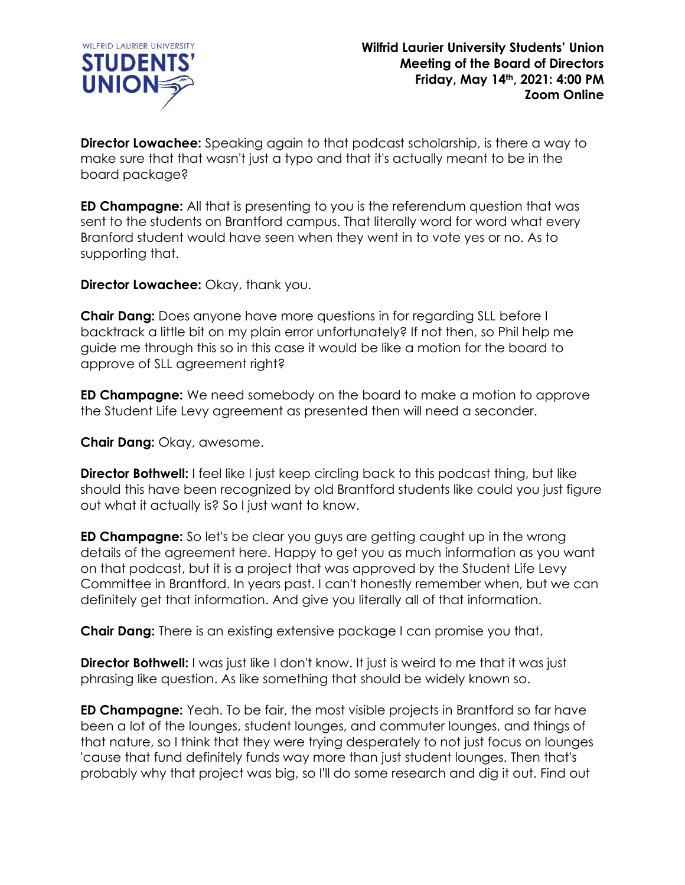

**Director Lowachee:** Speaking again to that podcast scholarship, is there a way to make sure that that wasn't just a typo and that it's actually meant to be in the board package?

**ED Champagne:** All that is presenting to you is the referendum question that was sent to the students on Brantford campus. That literally word for word what every Branford student would have seen when they went in to vote yes or no. As to supporting that.

**Director Lowachee:** Okay, thank you.

**Chair Dang:** Does anyone have more questions in for regarding SLL before I backtrack a little bit on my plain error unfortunately? If not then, so Phil help me guide me through this so in this case it would be like a motion for the board to approve of SLL agreement right?

**ED Champagne:** We need somebody on the board to make a motion to approve the Student Life Levy agreement as presented then will need a seconder.

**Chair Dang:** Okay, awesome.

**Director Bothwell:** I feel like I just keep circling back to this podcast thing, but like should this have been recognized by old Brantford students like could you just figure out what it actually is? So I just want to know.

**ED Champagne:** So let's be clear you guys are getting caught up in the wrong details of the agreement here. Happy to get you as much information as you want on that podcast, but it is a project that was approved by the Student Life Levy Committee in Brantford. In years past. I can't honestly remember when, but we can definitely get that information. And give you literally all of that information.

**Chair Dang:** There is an existing extensive package I can promise you that.

**Director Bothwell:** I was just like I don't know. It just is weird to me that it was just phrasing like question. As like something that should be widely known so.

**ED Champagne:** Yeah. To be fair, the most visible projects in Brantford so far have been a lot of the lounges, student lounges, and commuter lounges, and things of that nature, so I think that they were trying desperately to not just focus on lounges 'cause that fund definitely funds way more than just student lounges. Then that's probably why that project was big, so I'll do some research and dig it out. Find out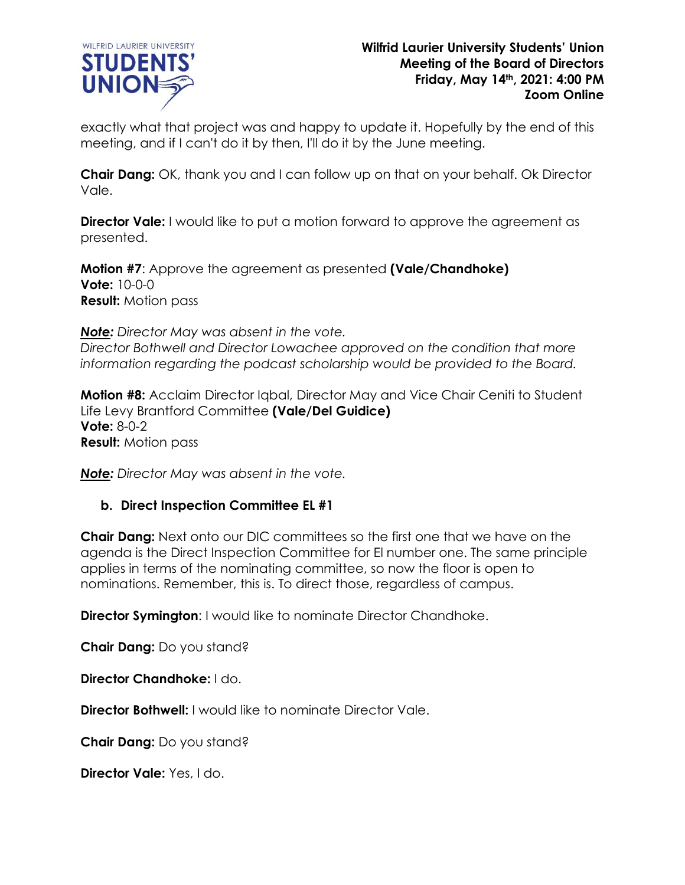

exactly what that project was and happy to update it. Hopefully by the end of this meeting, and if I can't do it by then, I'll do it by the June meeting.

**Chair Dang:** OK, thank you and I can follow up on that on your behalf. Ok Director Vale.

**Director Vale:** I would like to put a motion forward to approve the agreement as presented.

**Motion #7**: Approve the agreement as presented **(Vale/Chandhoke) Vote:** 10-0-0 **Result:** Motion pass

*Note: Director May was absent in the vote. Director Bothwell and Director Lowachee approved on the condition that more information regarding the podcast scholarship would be provided to the Board.*

**Motion #8:** Acclaim Director Iqbal, Director May and Vice Chair Ceniti to Student Life Levy Brantford Committee **(Vale/Del Guidice) Vote:** 8-0-2 **Result:** Motion pass

*Note: Director May was absent in the vote.*

### **b. Direct Inspection Committee EL #1**

**Chair Dang:** Next onto our DIC committees so the first one that we have on the agenda is the Direct Inspection Committee for El number one. The same principle applies in terms of the nominating committee, so now the floor is open to nominations. Remember, this is. To direct those, regardless of campus.

**Director Symington: I would like to nominate Director Chandhoke.** 

**Chair Dang:** Do you stand?

**Director Chandhoke:** I do.

**Director Bothwell:** I would like to nominate Director Vale.

**Chair Dang:** Do you stand?

**Director Vale:** Yes, I do.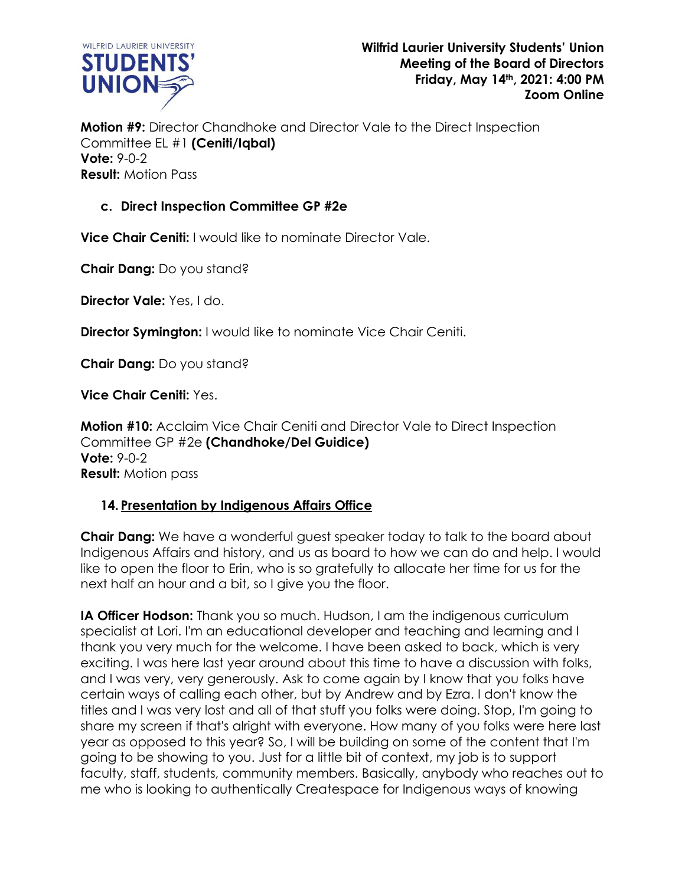

**Motion #9:** Director Chandhoke and Director Vale to the Direct Inspection Committee EL #1 **(Ceniti/Iqbal) Vote:** 9-0-2 **Result:** Motion Pass

## **c. Direct Inspection Committee GP #2e**

**Vice Chair Ceniti:** I would like to nominate Director Vale.

**Chair Dang:** Do you stand?

**Director Vale:** Yes, I do.

**Director Symington:** I would like to nominate Vice Chair Ceniti.

**Chair Dang:** Do you stand?

**Vice Chair Ceniti:** Yes.

**Motion #10:** Acclaim Vice Chair Ceniti and Director Vale to Direct Inspection Committee GP #2e **(Chandhoke/Del Guidice) Vote:** 9-0-2 **Result:** Motion pass

## **14. Presentation by Indigenous Affairs Office**

**Chair Dang:** We have a wonderful guest speaker today to talk to the board about Indigenous Affairs and history, and us as board to how we can do and help. I would like to open the floor to Erin, who is so gratefully to allocate her time for us for the next half an hour and a bit, so I give you the floor.

**IA Officer Hodson:** Thank you so much. Hudson, I am the indigenous curriculum specialist at Lori. I'm an educational developer and teaching and learning and I thank you very much for the welcome. I have been asked to back, which is very exciting. I was here last year around about this time to have a discussion with folks, and I was very, very generously. Ask to come again by I know that you folks have certain ways of calling each other, but by Andrew and by Ezra. I don't know the titles and I was very lost and all of that stuff you folks were doing. Stop, I'm going to share my screen if that's alright with everyone. How many of you folks were here last year as opposed to this year? So, I will be building on some of the content that I'm going to be showing to you. Just for a little bit of context, my job is to support faculty, staff, students, community members. Basically, anybody who reaches out to me who is looking to authentically Createspace for Indigenous ways of knowing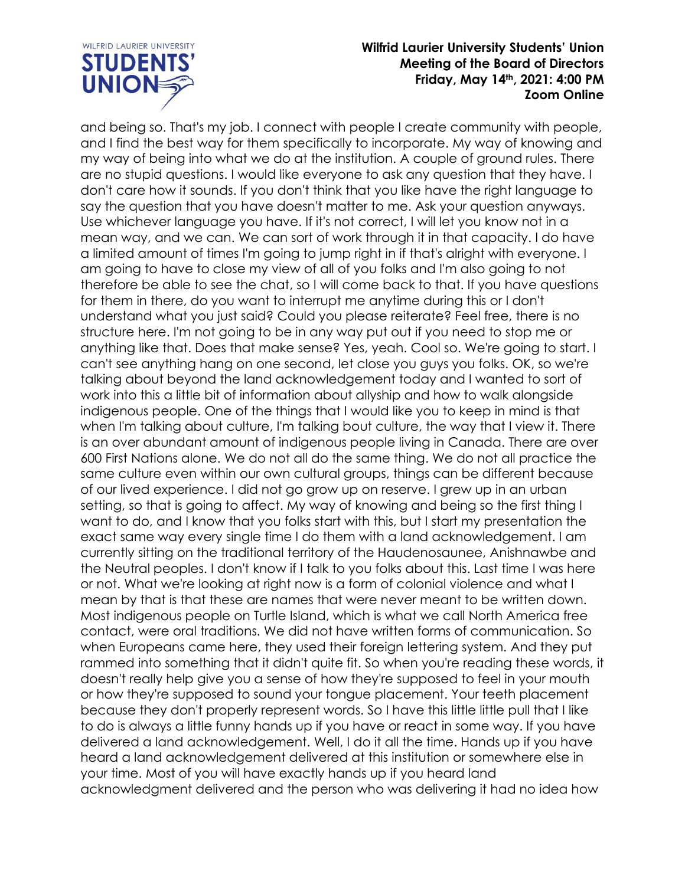

and being so. That's my job. I connect with people I create community with people, and I find the best way for them specifically to incorporate. My way of knowing and my way of being into what we do at the institution. A couple of ground rules. There are no stupid questions. I would like everyone to ask any question that they have. I don't care how it sounds. If you don't think that you like have the right language to say the question that you have doesn't matter to me. Ask your question anyways. Use whichever language you have. If it's not correct, I will let you know not in a mean way, and we can. We can sort of work through it in that capacity. I do have a limited amount of times I'm going to jump right in if that's alright with everyone. I am going to have to close my view of all of you folks and I'm also going to not therefore be able to see the chat, so I will come back to that. If you have questions for them in there, do you want to interrupt me anytime during this or I don't understand what you just said? Could you please reiterate? Feel free, there is no structure here. I'm not going to be in any way put out if you need to stop me or anything like that. Does that make sense? Yes, yeah. Cool so. We're going to start. I can't see anything hang on one second, let close you guys you folks. OK, so we're talking about beyond the land acknowledgement today and I wanted to sort of work into this a little bit of information about allyship and how to walk alongside indigenous people. One of the things that I would like you to keep in mind is that when I'm talking about culture, I'm talking bout culture, the way that I view it. There is an over abundant amount of indigenous people living in Canada. There are over 600 First Nations alone. We do not all do the same thing. We do not all practice the same culture even within our own cultural groups, things can be different because of our lived experience. I did not go grow up on reserve. I grew up in an urban setting, so that is going to affect. My way of knowing and being so the first thing I want to do, and I know that you folks start with this, but I start my presentation the exact same way every single time I do them with a land acknowledgement. I am currently sitting on the traditional territory of the Haudenosaunee, Anishnawbe and the Neutral peoples. I don't know if I talk to you folks about this. Last time I was here or not. What we're looking at right now is a form of colonial violence and what I mean by that is that these are names that were never meant to be written down. Most indigenous people on Turtle Island, which is what we call North America free contact, were oral traditions. We did not have written forms of communication. So when Europeans came here, they used their foreign lettering system. And they put rammed into something that it didn't quite fit. So when you're reading these words, it doesn't really help give you a sense of how they're supposed to feel in your mouth or how they're supposed to sound your tongue placement. Your teeth placement because they don't properly represent words. So I have this little little pull that I like to do is always a little funny hands up if you have or react in some way. If you have delivered a land acknowledgement. Well, I do it all the time. Hands up if you have heard a land acknowledgement delivered at this institution or somewhere else in your time. Most of you will have exactly hands up if you heard land acknowledgment delivered and the person who was delivering it had no idea how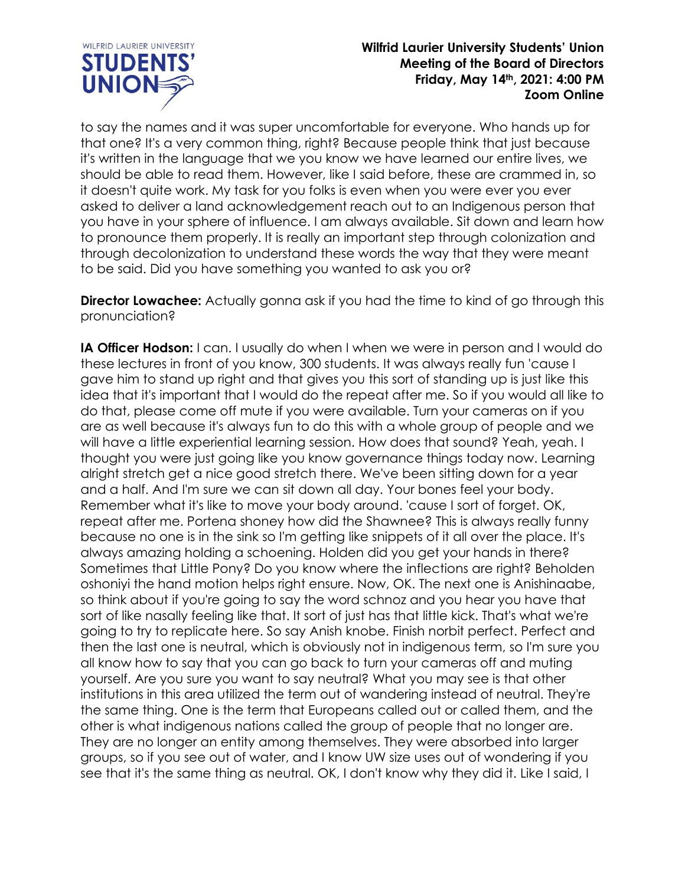

to say the names and it was super uncomfortable for everyone. Who hands up for that one? It's a very common thing, right? Because people think that just because it's written in the language that we you know we have learned our entire lives, we should be able to read them. However, like I said before, these are crammed in, so it doesn't quite work. My task for you folks is even when you were ever you ever asked to deliver a land acknowledgement reach out to an Indigenous person that you have in your sphere of influence. I am always available. Sit down and learn how to pronounce them properly. It is really an important step through colonization and through decolonization to understand these words the way that they were meant to be said. Did you have something you wanted to ask you or?

**Director Lowachee:** Actually gonna ask if you had the time to kind of go through this pronunciation?

**IA Officer Hodson:** I can. I usually do when I when we were in person and I would do these lectures in front of you know, 300 students. It was always really fun 'cause I gave him to stand up right and that gives you this sort of standing up is just like this idea that it's important that I would do the repeat after me. So if you would all like to do that, please come off mute if you were available. Turn your cameras on if you are as well because it's always fun to do this with a whole group of people and we will have a little experiential learning session. How does that sound? Yeah, yeah. I thought you were just going like you know governance things today now. Learning alright stretch get a nice good stretch there. We've been sitting down for a year and a half. And I'm sure we can sit down all day. Your bones feel your body. Remember what it's like to move your body around. 'cause I sort of forget. OK, repeat after me. Portena shoney how did the Shawnee? This is always really funny because no one is in the sink so I'm getting like snippets of it all over the place. It's always amazing holding a schoening. Holden did you get your hands in there? Sometimes that Little Pony? Do you know where the inflections are right? Beholden oshoniyi the hand motion helps right ensure. Now, OK. The next one is Anishinaabe, so think about if you're going to say the word schnoz and you hear you have that sort of like nasally feeling like that. It sort of just has that little kick. That's what we're going to try to replicate here. So say Anish knobe. Finish norbit perfect. Perfect and then the last one is neutral, which is obviously not in indigenous term, so I'm sure you all know how to say that you can go back to turn your cameras off and muting yourself. Are you sure you want to say neutral? What you may see is that other institutions in this area utilized the term out of wandering instead of neutral. They're the same thing. One is the term that Europeans called out or called them, and the other is what indigenous nations called the group of people that no longer are. They are no longer an entity among themselves. They were absorbed into larger groups, so if you see out of water, and I know UW size uses out of wondering if you see that it's the same thing as neutral. OK, I don't know why they did it. Like I said, I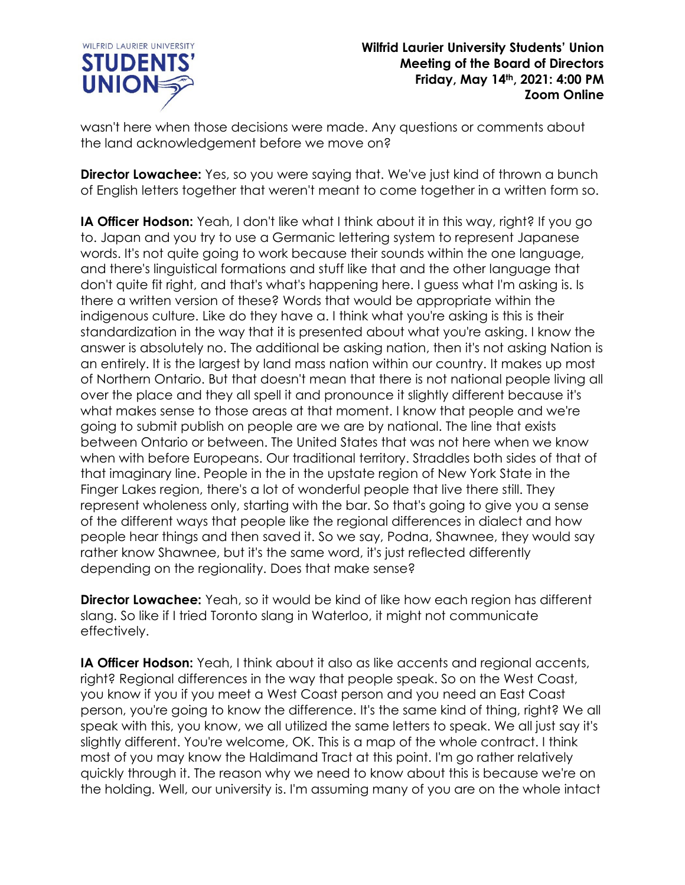

wasn't here when those decisions were made. Any questions or comments about the land acknowledgement before we move on?

**Director Lowachee:** Yes, so you were saying that. We've just kind of thrown a bunch of English letters together that weren't meant to come together in a written form so.

**IA Officer Hodson:** Yeah, I don't like what I think about it in this way, right? If you go to. Japan and you try to use a Germanic lettering system to represent Japanese words. It's not quite going to work because their sounds within the one language, and there's linguistical formations and stuff like that and the other language that don't quite fit right, and that's what's happening here. I guess what I'm asking is. Is there a written version of these? Words that would be appropriate within the indigenous culture. Like do they have a. I think what you're asking is this is their standardization in the way that it is presented about what you're asking. I know the answer is absolutely no. The additional be asking nation, then it's not asking Nation is an entirely. It is the largest by land mass nation within our country. It makes up most of Northern Ontario. But that doesn't mean that there is not national people living all over the place and they all spell it and pronounce it slightly different because it's what makes sense to those areas at that moment. I know that people and we're going to submit publish on people are we are by national. The line that exists between Ontario or between. The United States that was not here when we know when with before Europeans. Our traditional territory. Straddles both sides of that of that imaginary line. People in the in the upstate region of New York State in the Finger Lakes region, there's a lot of wonderful people that live there still. They represent wholeness only, starting with the bar. So that's going to give you a sense of the different ways that people like the regional differences in dialect and how people hear things and then saved it. So we say, Podna, Shawnee, they would say rather know Shawnee, but it's the same word, it's just reflected differently depending on the regionality. Does that make sense?

**Director Lowachee:** Yeah, so it would be kind of like how each region has different slang. So like if I tried Toronto slang in Waterloo, it might not communicate effectively.

**IA Officer Hodson:** Yeah, I think about it also as like accents and regional accents, right? Regional differences in the way that people speak. So on the West Coast, you know if you if you meet a West Coast person and you need an East Coast person, you're going to know the difference. It's the same kind of thing, right? We all speak with this, you know, we all utilized the same letters to speak. We all just say it's slightly different. You're welcome, OK. This is a map of the whole contract. I think most of you may know the Haldimand Tract at this point. I'm go rather relatively quickly through it. The reason why we need to know about this is because we're on the holding. Well, our university is. I'm assuming many of you are on the whole intact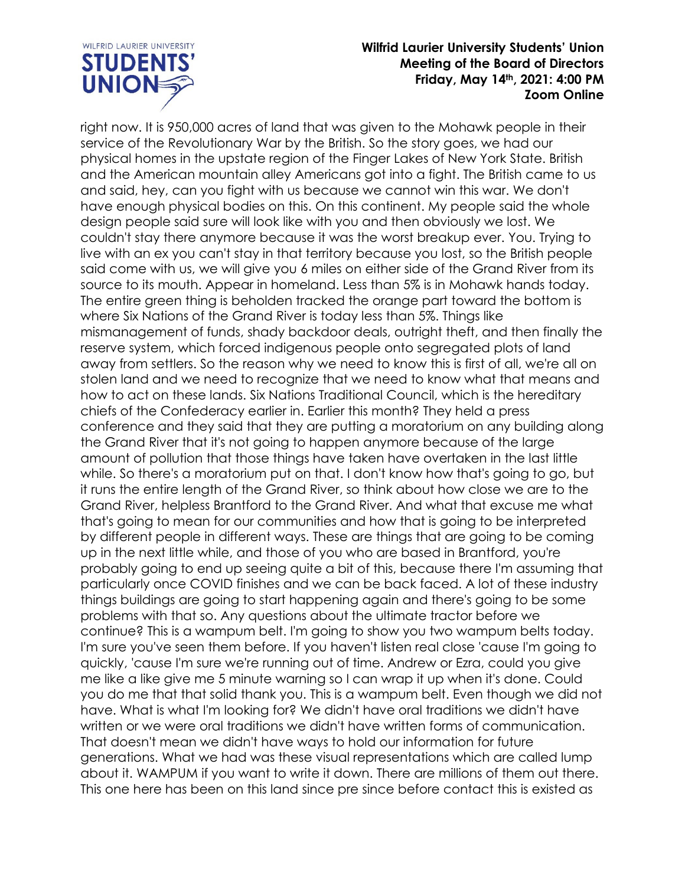

right now. It is 950,000 acres of land that was given to the Mohawk people in their service of the Revolutionary War by the British. So the story goes, we had our physical homes in the upstate region of the Finger Lakes of New York State. British and the American mountain alley Americans got into a fight. The British came to us and said, hey, can you fight with us because we cannot win this war. We don't have enough physical bodies on this. On this continent. My people said the whole design people said sure will look like with you and then obviously we lost. We couldn't stay there anymore because it was the worst breakup ever. You. Trying to live with an ex you can't stay in that territory because you lost, so the British people said come with us, we will give you 6 miles on either side of the Grand River from its source to its mouth. Appear in homeland. Less than 5% is in Mohawk hands today. The entire green thing is beholden tracked the orange part toward the bottom is where Six Nations of the Grand River is today less than 5%. Things like mismanagement of funds, shady backdoor deals, outright theft, and then finally the reserve system, which forced indigenous people onto segregated plots of land away from settlers. So the reason why we need to know this is first of all, we're all on stolen land and we need to recognize that we need to know what that means and how to act on these lands. Six Nations Traditional Council, which is the hereditary chiefs of the Confederacy earlier in. Earlier this month? They held a press conference and they said that they are putting a moratorium on any building along the Grand River that it's not going to happen anymore because of the large amount of pollution that those things have taken have overtaken in the last little while. So there's a moratorium put on that. I don't know how that's going to go, but it runs the entire length of the Grand River, so think about how close we are to the Grand River, helpless Brantford to the Grand River. And what that excuse me what that's going to mean for our communities and how that is going to be interpreted by different people in different ways. These are things that are going to be coming up in the next little while, and those of you who are based in Brantford, you're probably going to end up seeing quite a bit of this, because there I'm assuming that particularly once COVID finishes and we can be back faced. A lot of these industry things buildings are going to start happening again and there's going to be some problems with that so. Any questions about the ultimate tractor before we continue? This is a wampum belt. I'm going to show you two wampum belts today. I'm sure you've seen them before. If you haven't listen real close 'cause I'm going to quickly, 'cause I'm sure we're running out of time. Andrew or Ezra, could you give me like a like give me 5 minute warning so I can wrap it up when it's done. Could you do me that that solid thank you. This is a wampum belt. Even though we did not have. What is what I'm looking for? We didn't have oral traditions we didn't have written or we were oral traditions we didn't have written forms of communication. That doesn't mean we didn't have ways to hold our information for future generations. What we had was these visual representations which are called lump about it. WAMPUM if you want to write it down. There are millions of them out there. This one here has been on this land since pre since before contact this is existed as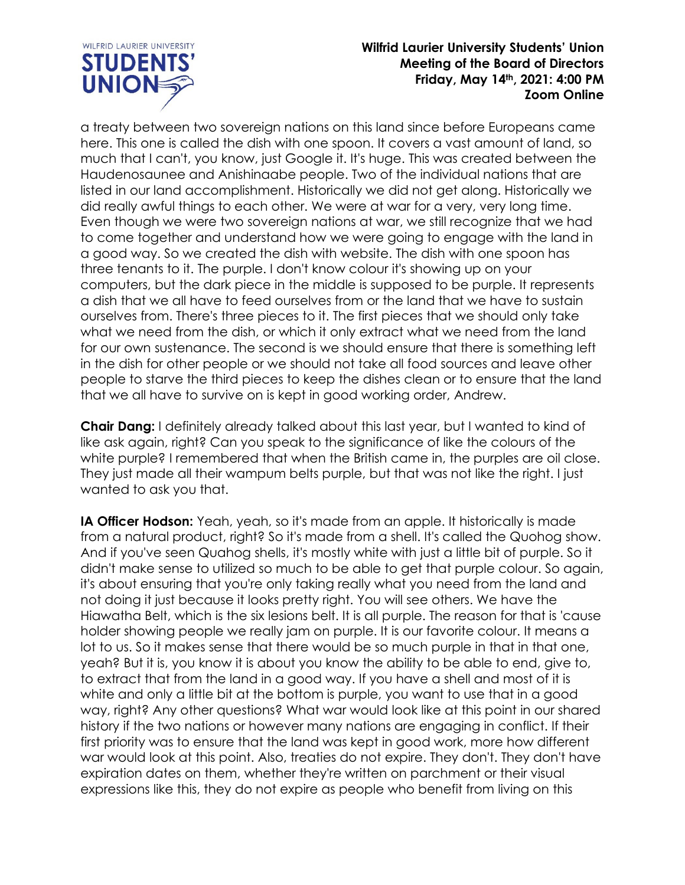

a treaty between two sovereign nations on this land since before Europeans came here. This one is called the dish with one spoon. It covers a vast amount of land, so much that I can't, you know, just Google it. It's huge. This was created between the Haudenosaunee and Anishinaabe people. Two of the individual nations that are listed in our land accomplishment. Historically we did not get along. Historically we did really awful things to each other. We were at war for a very, very long time. Even though we were two sovereign nations at war, we still recognize that we had to come together and understand how we were going to engage with the land in a good way. So we created the dish with website. The dish with one spoon has three tenants to it. The purple. I don't know colour it's showing up on your computers, but the dark piece in the middle is supposed to be purple. It represents a dish that we all have to feed ourselves from or the land that we have to sustain ourselves from. There's three pieces to it. The first pieces that we should only take what we need from the dish, or which it only extract what we need from the land for our own sustenance. The second is we should ensure that there is something left in the dish for other people or we should not take all food sources and leave other people to starve the third pieces to keep the dishes clean or to ensure that the land that we all have to survive on is kept in good working order, Andrew.

**Chair Dang:** I definitely already talked about this last year, but I wanted to kind of like ask again, right? Can you speak to the significance of like the colours of the white purple? I remembered that when the British came in, the purples are oil close. They just made all their wampum belts purple, but that was not like the right. I just wanted to ask you that.

**IA Officer Hodson:** Yeah, yeah, so it's made from an apple. It historically is made from a natural product, right? So it's made from a shell. It's called the Quohog show. And if you've seen Quahog shells, it's mostly white with just a little bit of purple. So it didn't make sense to utilized so much to be able to get that purple colour. So again, it's about ensuring that you're only taking really what you need from the land and not doing it just because it looks pretty right. You will see others. We have the Hiawatha Belt, which is the six lesions belt. It is all purple. The reason for that is 'cause holder showing people we really jam on purple. It is our favorite colour. It means a lot to us. So it makes sense that there would be so much purple in that in that one, yeah? But it is, you know it is about you know the ability to be able to end, give to, to extract that from the land in a good way. If you have a shell and most of it is white and only a little bit at the bottom is purple, you want to use that in a good way, right? Any other questions? What war would look like at this point in our shared history if the two nations or however many nations are engaging in conflict. If their first priority was to ensure that the land was kept in good work, more how different war would look at this point. Also, treaties do not expire. They don't. They don't have expiration dates on them, whether they're written on parchment or their visual expressions like this, they do not expire as people who benefit from living on this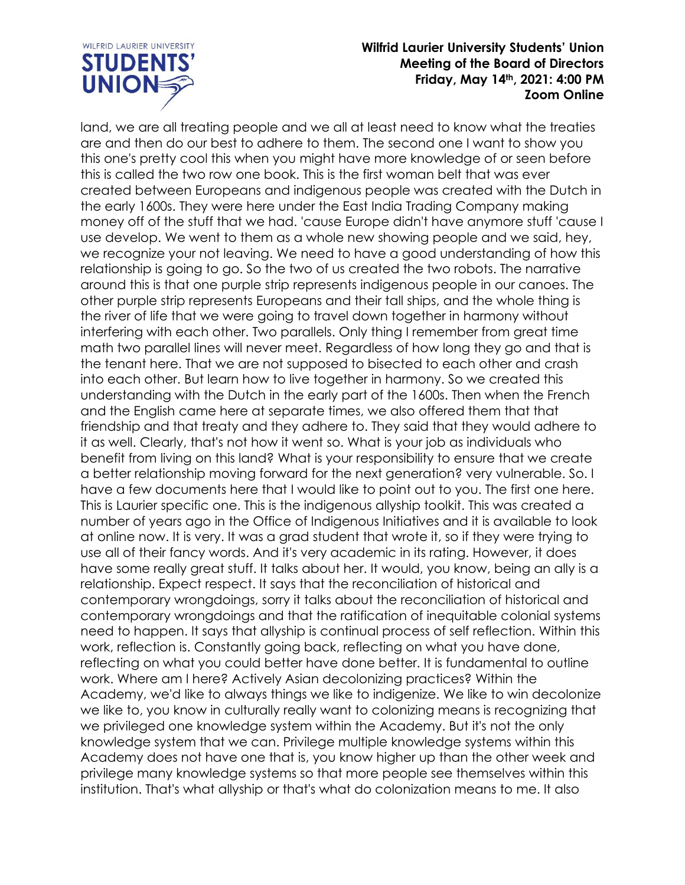

land, we are all treating people and we all at least need to know what the treaties are and then do our best to adhere to them. The second one I want to show you this one's pretty cool this when you might have more knowledge of or seen before this is called the two row one book. This is the first woman belt that was ever created between Europeans and indigenous people was created with the Dutch in the early 1600s. They were here under the East India Trading Company making money off of the stuff that we had. 'cause Europe didn't have anymore stuff 'cause I use develop. We went to them as a whole new showing people and we said, hey, we recognize your not leaving. We need to have a good understanding of how this relationship is going to go. So the two of us created the two robots. The narrative around this is that one purple strip represents indigenous people in our canoes. The other purple strip represents Europeans and their tall ships, and the whole thing is the river of life that we were going to travel down together in harmony without interfering with each other. Two parallels. Only thing I remember from great time math two parallel lines will never meet. Regardless of how long they go and that is the tenant here. That we are not supposed to bisected to each other and crash into each other. But learn how to live together in harmony. So we created this understanding with the Dutch in the early part of the 1600s. Then when the French and the English came here at separate times, we also offered them that that friendship and that treaty and they adhere to. They said that they would adhere to it as well. Clearly, that's not how it went so. What is your job as individuals who benefit from living on this land? What is your responsibility to ensure that we create a better relationship moving forward for the next generation? very vulnerable. So. I have a few documents here that I would like to point out to you. The first one here. This is Laurier specific one. This is the indigenous allyship toolkit. This was created a number of years ago in the Office of Indigenous Initiatives and it is available to look at online now. It is very. It was a grad student that wrote it, so if they were trying to use all of their fancy words. And it's very academic in its rating. However, it does have some really great stuff. It talks about her. It would, you know, being an ally is a relationship. Expect respect. It says that the reconciliation of historical and contemporary wrongdoings, sorry it talks about the reconciliation of historical and contemporary wrongdoings and that the ratification of inequitable colonial systems need to happen. It says that allyship is continual process of self reflection. Within this work, reflection is. Constantly going back, reflecting on what you have done, reflecting on what you could better have done better. It is fundamental to outline work. Where am I here? Actively Asian decolonizing practices? Within the Academy, we'd like to always things we like to indigenize. We like to win decolonize we like to, you know in culturally really want to colonizing means is recognizing that we privileged one knowledge system within the Academy. But it's not the only knowledge system that we can. Privilege multiple knowledge systems within this Academy does not have one that is, you know higher up than the other week and privilege many knowledge systems so that more people see themselves within this institution. That's what allyship or that's what do colonization means to me. It also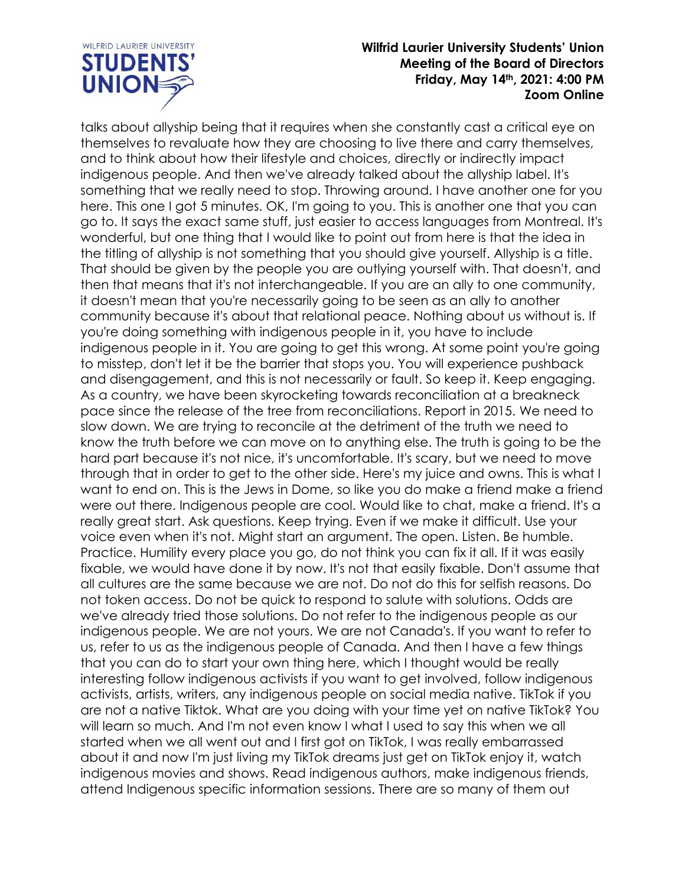

talks about allyship being that it requires when she constantly cast a critical eye on themselves to revaluate how they are choosing to live there and carry themselves, and to think about how their lifestyle and choices, directly or indirectly impact indigenous people. And then we've already talked about the allyship label. It's something that we really need to stop. Throwing around. I have another one for you here. This one I got 5 minutes. OK, I'm going to you. This is another one that you can go to. It says the exact same stuff, just easier to access languages from Montreal. It's wonderful, but one thing that I would like to point out from here is that the idea in the titling of allyship is not something that you should give yourself. Allyship is a title. That should be given by the people you are outlying yourself with. That doesn't, and then that means that it's not interchangeable. If you are an ally to one community, it doesn't mean that you're necessarily going to be seen as an ally to another community because it's about that relational peace. Nothing about us without is. If you're doing something with indigenous people in it, you have to include indigenous people in it. You are going to get this wrong. At some point you're going to misstep, don't let it be the barrier that stops you. You will experience pushback and disengagement, and this is not necessarily or fault. So keep it. Keep engaging. As a country, we have been skyrocketing towards reconciliation at a breakneck pace since the release of the tree from reconciliations. Report in 2015. We need to slow down. We are trying to reconcile at the detriment of the truth we need to know the truth before we can move on to anything else. The truth is going to be the hard part because it's not nice, it's uncomfortable. It's scary, but we need to move through that in order to get to the other side. Here's my juice and owns. This is what I want to end on. This is the Jews in Dome, so like you do make a friend make a friend were out there. Indigenous people are cool. Would like to chat, make a friend. It's a really great start. Ask questions. Keep trying. Even if we make it difficult. Use your voice even when it's not. Might start an argument. The open. Listen. Be humble. Practice. Humility every place you go, do not think you can fix it all. If it was easily fixable, we would have done it by now. It's not that easily fixable. Don't assume that all cultures are the same because we are not. Do not do this for selfish reasons. Do not token access. Do not be quick to respond to salute with solutions. Odds are we've already tried those solutions. Do not refer to the indigenous people as our indigenous people. We are not yours. We are not Canada's. If you want to refer to us, refer to us as the indigenous people of Canada. And then I have a few things that you can do to start your own thing here, which I thought would be really interesting follow indigenous activists if you want to get involved, follow indigenous activists, artists, writers, any indigenous people on social media native. TikTok if you are not a native Tiktok. What are you doing with your time yet on native TikTok? You will learn so much. And I'm not even know I what I used to say this when we all started when we all went out and I first got on TikTok, I was really embarrassed about it and now I'm just living my TikTok dreams just get on TikTok enjoy it, watch indigenous movies and shows. Read indigenous authors, make indigenous friends, attend Indigenous specific information sessions. There are so many of them out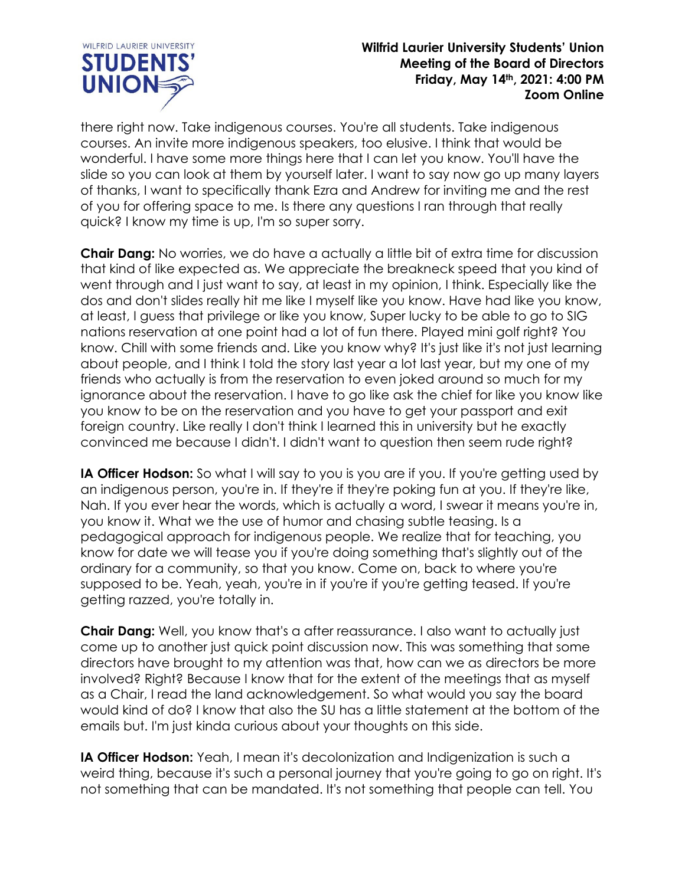

there right now. Take indigenous courses. You're all students. Take indigenous courses. An invite more indigenous speakers, too elusive. I think that would be wonderful. I have some more things here that I can let you know. You'll have the slide so you can look at them by yourself later. I want to say now go up many layers of thanks, I want to specifically thank Ezra and Andrew for inviting me and the rest of you for offering space to me. Is there any questions I ran through that really quick? I know my time is up, I'm so super sorry.

**Chair Dang:** No worries, we do have a actually a little bit of extra time for discussion that kind of like expected as. We appreciate the breakneck speed that you kind of went through and I just want to say, at least in my opinion, I think. Especially like the dos and don't slides really hit me like I myself like you know. Have had like you know, at least, I guess that privilege or like you know, Super lucky to be able to go to SIG nations reservation at one point had a lot of fun there. Played mini golf right? You know. Chill with some friends and. Like you know why? It's just like it's not just learning about people, and I think I told the story last year a lot last year, but my one of my friends who actually is from the reservation to even joked around so much for my ignorance about the reservation. I have to go like ask the chief for like you know like you know to be on the reservation and you have to get your passport and exit foreign country. Like really I don't think I learned this in university but he exactly convinced me because I didn't. I didn't want to question then seem rude right?

**IA Officer Hodson:** So what I will say to you is you are if you. If you're getting used by an indigenous person, you're in. If they're if they're poking fun at you. If they're like, Nah. If you ever hear the words, which is actually a word, I swear it means you're in, you know it. What we the use of humor and chasing subtle teasing. Is a pedagogical approach for indigenous people. We realize that for teaching, you know for date we will tease you if you're doing something that's slightly out of the ordinary for a community, so that you know. Come on, back to where you're supposed to be. Yeah, yeah, you're in if you're if you're getting teased. If you're getting razzed, you're totally in.

**Chair Dang:** Well, you know that's a after reassurance. I also want to actually just come up to another just quick point discussion now. This was something that some directors have brought to my attention was that, how can we as directors be more involved? Right? Because I know that for the extent of the meetings that as myself as a Chair, I read the land acknowledgement. So what would you say the board would kind of do? I know that also the SU has a little statement at the bottom of the emails but. I'm just kinda curious about your thoughts on this side.

**IA Officer Hodson:** Yeah, I mean it's decolonization and Indigenization is such a weird thing, because it's such a personal journey that you're going to go on right. It's not something that can be mandated. It's not something that people can tell. You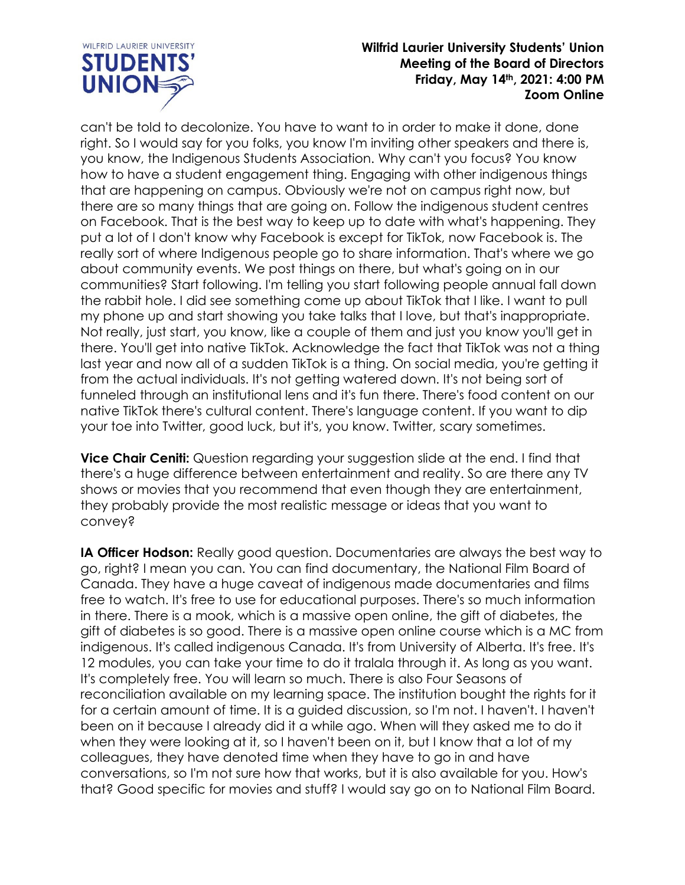

can't be told to decolonize. You have to want to in order to make it done, done right. So I would say for you folks, you know I'm inviting other speakers and there is, you know, the Indigenous Students Association. Why can't you focus? You know how to have a student engagement thing. Engaging with other indigenous things that are happening on campus. Obviously we're not on campus right now, but there are so many things that are going on. Follow the indigenous student centres on Facebook. That is the best way to keep up to date with what's happening. They put a lot of I don't know why Facebook is except for TikTok, now Facebook is. The really sort of where Indigenous people go to share information. That's where we go about community events. We post things on there, but what's going on in our communities? Start following. I'm telling you start following people annual fall down the rabbit hole. I did see something come up about TikTok that I like. I want to pull my phone up and start showing you take talks that I love, but that's inappropriate. Not really, just start, you know, like a couple of them and just you know you'll get in there. You'll get into native TikTok. Acknowledge the fact that TikTok was not a thing last year and now all of a sudden TikTok is a thing. On social media, you're getting it from the actual individuals. It's not getting watered down. It's not being sort of funneled through an institutional lens and it's fun there. There's food content on our native TikTok there's cultural content. There's language content. If you want to dip your toe into Twitter, good luck, but it's, you know. Twitter, scary sometimes.

**Vice Chair Ceniti:** Question regarding your suggestion slide at the end. I find that there's a huge difference between entertainment and reality. So are there any TV shows or movies that you recommend that even though they are entertainment, they probably provide the most realistic message or ideas that you want to convey?

**IA Officer Hodson:** Really good question. Documentaries are always the best way to go, right? I mean you can. You can find documentary, the National Film Board of Canada. They have a huge caveat of indigenous made documentaries and films free to watch. It's free to use for educational purposes. There's so much information in there. There is a mook, which is a massive open online, the gift of diabetes, the gift of diabetes is so good. There is a massive open online course which is a MC from indigenous. It's called indigenous Canada. It's from University of Alberta. It's free. It's 12 modules, you can take your time to do it tralala through it. As long as you want. It's completely free. You will learn so much. There is also Four Seasons of reconciliation available on my learning space. The institution bought the rights for it for a certain amount of time. It is a guided discussion, so I'm not. I haven't. I haven't been on it because I already did it a while ago. When will they asked me to do it when they were looking at it, so I haven't been on it, but I know that a lot of my colleagues, they have denoted time when they have to go in and have conversations, so I'm not sure how that works, but it is also available for you. How's that? Good specific for movies and stuff? I would say go on to National Film Board.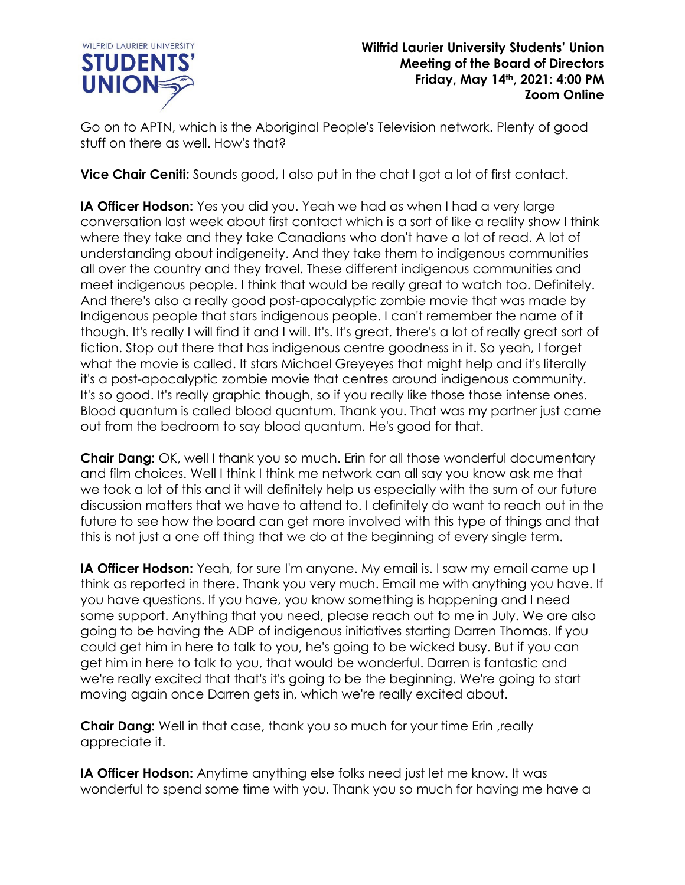

Go on to APTN, which is the Aboriginal People's Television network. Plenty of good stuff on there as well. How's that?

**Vice Chair Ceniti:** Sounds good, I also put in the chat I got a lot of first contact.

**IA Officer Hodson:** Yes you did you. Yeah we had as when I had a very large conversation last week about first contact which is a sort of like a reality show I think where they take and they take Canadians who don't have a lot of read. A lot of understanding about indigeneity. And they take them to indigenous communities all over the country and they travel. These different indigenous communities and meet indigenous people. I think that would be really great to watch too. Definitely. And there's also a really good post-apocalyptic zombie movie that was made by Indigenous people that stars indigenous people. I can't remember the name of it though. It's really I will find it and I will. It's. It's great, there's a lot of really great sort of fiction. Stop out there that has indigenous centre goodness in it. So yeah, I forget what the movie is called. It stars Michael Greyeyes that might help and it's literally it's a post-apocalyptic zombie movie that centres around indigenous community. It's so good. It's really graphic though, so if you really like those those intense ones. Blood quantum is called blood quantum. Thank you. That was my partner just came out from the bedroom to say blood quantum. He's good for that.

**Chair Dang:** OK, well I thank you so much. Erin for all those wonderful documentary and film choices. Well I think I think me network can all say you know ask me that we took a lot of this and it will definitely help us especially with the sum of our future discussion matters that we have to attend to. I definitely do want to reach out in the future to see how the board can get more involved with this type of things and that this is not just a one off thing that we do at the beginning of every single term.

**IA Officer Hodson:** Yeah, for sure I'm anyone. My email is. I saw my email came up I think as reported in there. Thank you very much. Email me with anything you have. If you have questions. If you have, you know something is happening and I need some support. Anything that you need, please reach out to me in July. We are also going to be having the ADP of indigenous initiatives starting Darren Thomas. If you could get him in here to talk to you, he's going to be wicked busy. But if you can get him in here to talk to you, that would be wonderful. Darren is fantastic and we're really excited that that's it's going to be the beginning. We're going to start moving again once Darren gets in, which we're really excited about.

**Chair Dang:** Well in that case, thank you so much for your time Erin ,really appreciate it.

**IA Officer Hodson:** Anytime anything else folks need just let me know. It was wonderful to spend some time with you. Thank you so much for having me have a